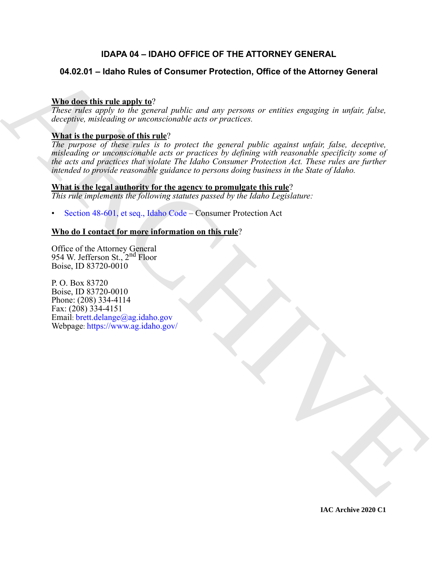# **IDAPA 04 – IDAHO OFFICE OF THE ATTORNEY GENERAL**

# **04.02.01 – Idaho Rules of Consumer Protection, Office of the Attorney General**

# **Who does this rule apply to**?

*These rules apply to the general public and any persons or entities engaging in unfair, false, deceptive, misleading or unconscionable acts or practices.*

# **What is the purpose of this rule**?

**04.02.01 – Idaho Rules of Consumer Protection, Office of the Attorney General<br>
Whe describe the relationship and the relationship and the relation of proteins of proteins and under faile.<br>
The signal is under the particu** *The purpose of these rules is to protect the general public against unfair, false, deceptive, misleading or unconscionable acts or practices by defining with reasonable specificity some of the acts and practices that violate The Idaho Consumer Protection Act. These rules are further intended to provide reasonable guidance to persons doing business in the State of Idaho.*

# **What is the legal authority for the agency to promulgate this rule**?

*This rule implements the following statutes passed by the Idaho Legislature:*

• Section 48-601, et seq., Idaho Code – Consumer Protection Act

# **Who do I contact for more information on this rule**?

Office of the Attorney General 954 W. Jefferson St., 2<sup>nd</sup> Floor Boise, ID 83720-0010

P. O. Box 83720 Boise, ID 83720-0010 Phone: (208) 334-4114 Fax: (208) 334-4151 Email: brett.delange@ag.idaho.gov Webpage: https://www.ag.idaho.gov/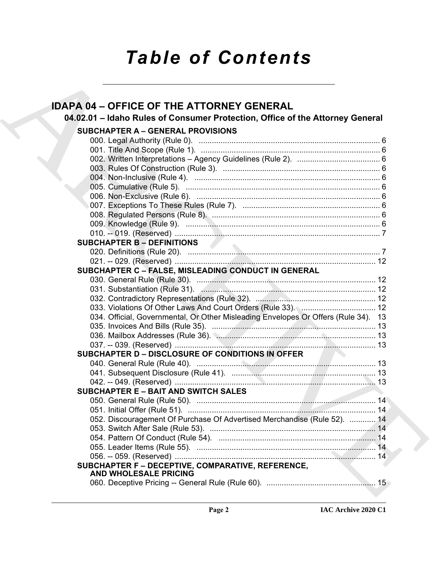# *Table of Contents*

| <b>IDAPA 04 - OFFICE OF THE ATTORNEY GENERAL</b>                                   |  |
|------------------------------------------------------------------------------------|--|
| 04.02.01 - Idaho Rules of Consumer Protection, Office of the Attorney General      |  |
| <b>SUBCHAPTER A - GENERAL PROVISIONS</b>                                           |  |
|                                                                                    |  |
|                                                                                    |  |
|                                                                                    |  |
|                                                                                    |  |
|                                                                                    |  |
|                                                                                    |  |
|                                                                                    |  |
|                                                                                    |  |
|                                                                                    |  |
|                                                                                    |  |
|                                                                                    |  |
| <b>SUBCHAPTER B - DEFINITIONS</b>                                                  |  |
|                                                                                    |  |
|                                                                                    |  |
| SUBCHAPTER C - FALSE, MISLEADING CONDUCT IN GENERAL                                |  |
|                                                                                    |  |
|                                                                                    |  |
|                                                                                    |  |
|                                                                                    |  |
| 034. Official, Governmental, Or Other Misleading Envelopes Or Offers (Rule 34). 13 |  |
|                                                                                    |  |
|                                                                                    |  |
|                                                                                    |  |
| <b>SUBCHAPTER D - DISCLOSURE OF CONDITIONS IN OFFER</b>                            |  |
|                                                                                    |  |
|                                                                                    |  |
|                                                                                    |  |
| <b>SUBCHAPTER E - BAIT AND SWITCH SALES</b>                                        |  |
|                                                                                    |  |
|                                                                                    |  |
| 052. Discouragement Of Purchase Of Advertised Merchandise (Rule 52).  14           |  |
|                                                                                    |  |
|                                                                                    |  |
|                                                                                    |  |
|                                                                                    |  |
| SUBCHAPTER F - DECEPTIVE, COMPARATIVE, REFERENCE,<br><b>AND WHOLESALE PRICING</b>  |  |
|                                                                                    |  |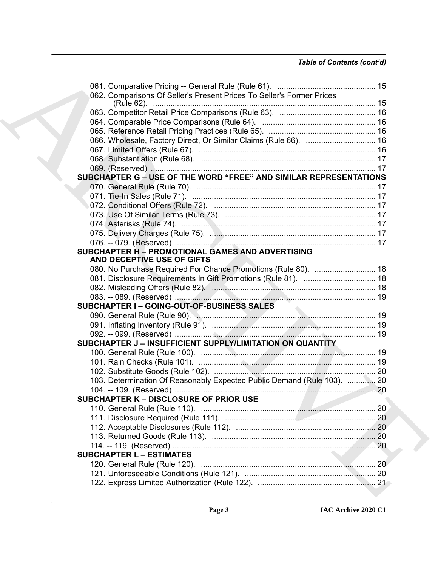| 062. Comparisons Of Seller's Present Prices To Seller's Former Prices                 |  |
|---------------------------------------------------------------------------------------|--|
|                                                                                       |  |
|                                                                                       |  |
|                                                                                       |  |
|                                                                                       |  |
|                                                                                       |  |
|                                                                                       |  |
|                                                                                       |  |
| SUBCHAPTER G - USE OF THE WORD "FREE" AND SIMILAR REPRESENTATIONS                     |  |
|                                                                                       |  |
|                                                                                       |  |
|                                                                                       |  |
|                                                                                       |  |
|                                                                                       |  |
|                                                                                       |  |
|                                                                                       |  |
|                                                                                       |  |
| <b>SUBCHAPTER H - PROMOTIONAL GAMES AND ADVERTISING</b><br>AND DECEPTIVE USE OF GIFTS |  |
| 080. No Purchase Required For Chance Promotions (Rule 80).  18                        |  |
|                                                                                       |  |
|                                                                                       |  |
|                                                                                       |  |
| <b>SUBCHAPTER I-GOING-OUT-OF-BUSINESS SALES</b>                                       |  |
|                                                                                       |  |
|                                                                                       |  |
|                                                                                       |  |
| SUBCHAPTER J - INSUFFICIENT SUPPLY/LIMITATION ON QUANTITY                             |  |
|                                                                                       |  |
|                                                                                       |  |
|                                                                                       |  |
| 103. Determination Of Reasonably Expected Public Demand (Rule 103).  20               |  |
|                                                                                       |  |
| <b>SUBCHAPTER K - DISCLOSURE OF PRIOR USE</b>                                         |  |
|                                                                                       |  |
|                                                                                       |  |
|                                                                                       |  |
|                                                                                       |  |
|                                                                                       |  |
| <b>SUBCHAPTER L - ESTIMATES</b>                                                       |  |
|                                                                                       |  |
|                                                                                       |  |
|                                                                                       |  |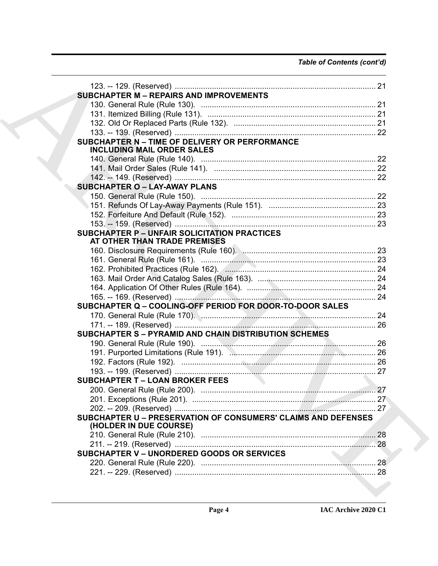| <b>SUBCHAPTER M - REPAIRS AND IMPROVEMENTS</b>                                          |  |
|-----------------------------------------------------------------------------------------|--|
|                                                                                         |  |
|                                                                                         |  |
|                                                                                         |  |
|                                                                                         |  |
| SUBCHAPTER N - TIME OF DELIVERY OR PERFORMANCE<br><b>INCLUDING MAIL ORDER SALES</b>     |  |
|                                                                                         |  |
|                                                                                         |  |
|                                                                                         |  |
| <b>SUBCHAPTER O - LAY-AWAY PLANS</b>                                                    |  |
|                                                                                         |  |
|                                                                                         |  |
|                                                                                         |  |
|                                                                                         |  |
| <b>SUBCHAPTER P - UNFAIR SOLICITATION PRACTICES</b><br>AT OTHER THAN TRADE PREMISES     |  |
|                                                                                         |  |
|                                                                                         |  |
|                                                                                         |  |
|                                                                                         |  |
|                                                                                         |  |
|                                                                                         |  |
| SUBCHAPTER Q - COOLING-OFF PERIOD FOR DOOR-TO-DOOR SALES                                |  |
|                                                                                         |  |
|                                                                                         |  |
| <b>SUBCHAPTER S - PYRAMID AND CHAIN DISTRIBUTION SCHEMES</b>                            |  |
|                                                                                         |  |
|                                                                                         |  |
|                                                                                         |  |
|                                                                                         |  |
| <b>SUBCHAPTER T - LOAN BROKER FEES</b>                                                  |  |
|                                                                                         |  |
|                                                                                         |  |
|                                                                                         |  |
| SUBCHAPTER U - PRESERVATION OF CONSUMERS' CLAIMS AND DEFENSES<br>(HOLDER IN DUE COURSE) |  |
|                                                                                         |  |
|                                                                                         |  |
| <b>SUBCHAPTER V - UNORDERED GOODS OR SERVICES</b>                                       |  |
|                                                                                         |  |
|                                                                                         |  |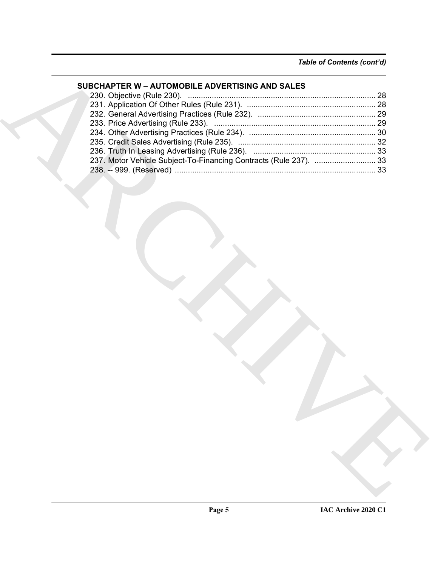# **SUBCHAPTER W – AUTOMOBILE ADVERTISING AND SALES**

| 237. Motor Vehicle Subject-To-Financing Contracts (Rule 237).  33 | SUBCHAPTER W - AUTOMOBILE ADVERTISING AND SALES |  |
|-------------------------------------------------------------------|-------------------------------------------------|--|
|                                                                   |                                                 |  |
|                                                                   |                                                 |  |
|                                                                   |                                                 |  |
|                                                                   |                                                 |  |
|                                                                   |                                                 |  |
|                                                                   |                                                 |  |
|                                                                   |                                                 |  |
|                                                                   |                                                 |  |
|                                                                   |                                                 |  |
|                                                                   |                                                 |  |
|                                                                   |                                                 |  |
|                                                                   |                                                 |  |
|                                                                   |                                                 |  |
|                                                                   |                                                 |  |
|                                                                   |                                                 |  |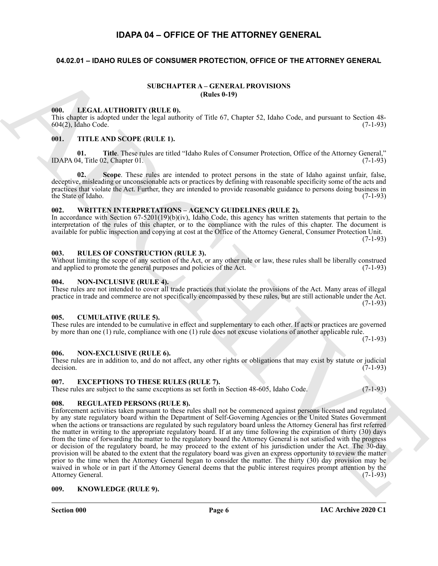# **IDAPA 04 – OFFICE OF THE ATTORNEY GENERAL**

# <span id="page-5-2"></span><span id="page-5-1"></span><span id="page-5-0"></span>**04.02.01 – IDAHO RULES OF CONSUMER PROTECTION, OFFICE OF THE ATTORNEY GENERAL**

### <span id="page-5-15"></span>**SUBCHAPTER A – GENERAL PROVISIONS (Rules 0-19)**

## <span id="page-5-17"></span><span id="page-5-3"></span>**000. LEGAL AUTHORITY (RULE 0).**

This chapter is adopted under the legal authority of Title 67, Chapter 52, Idaho Code, and pursuant to Section 48-<br>604(2). Idaho Code. (7-1-93) 604(2), Idaho Code.

#### <span id="page-5-22"></span><span id="page-5-4"></span>**001. TITLE AND SCOPE (RULE 1).**

**01. Title**. These rules are titled "Idaho Rules of Consumer Protection, Office of the Attorney General," IDAPA 04, Title 02, Chapter 01. (7-1-93)

**02. Scope**. These rules are intended to protect persons in the state of Idaho against unfair, false, deceptive, misleading or unconscionable acts or practices by defining with reasonable specificity some of the acts and practices that violate the Act. Further, they are intended to provide reasonable guidance to persons doing business in the State of Idaho.  $(7-1-93)$ 

# <span id="page-5-23"></span><span id="page-5-5"></span>**002. WRITTEN INTERPRETATIONS – AGENCY GUIDELINES (RULE 2).**

In accordance with Section  $67-5201(19)(b)(iv)$ , Idaho Code, this agency has written statements that pertain to the interpretation of the rules of this chapter, or to the compliance with the rules of this chapter. The document is available for public inspection and copying at cost at the Office of the Attorney General, Consumer Protection Unit.  $(7-1-93)$ 

#### <span id="page-5-21"></span><span id="page-5-6"></span>**003. RULES OF CONSTRUCTION (RULE 3).**

Without limiting the scope of any section of the Act, or any other rule or law, these rules shall be liberally construed and applied to promote the general purposes and policies of the Act. (7-1-93)

#### <span id="page-5-19"></span><span id="page-5-7"></span>**004. NON-INCLUSIVE (RULE 4).**

These rules are not intended to cover all trade practices that violate the provisions of the Act. Many areas of illegal practice in trade and commerce are not specifically encompassed by these rules, but are still actionable under the Act. (7-1-93)

#### <span id="page-5-13"></span><span id="page-5-8"></span>**005. CUMULATIVE (RULE 5).**

These rules are intended to be cumulative in effect and supplementary to each other. If acts or practices are governed by more than one (1) rule, compliance with one (1) rule does not excuse violations of another applicable rule.

<span id="page-5-18"></span> $(7-1-93)$ 

## <span id="page-5-9"></span>**006. NON-EXCLUSIVE (RULE 6).**

These rules are in addition to, and do not affect, any other rights or obligations that may exist by statute or judicial decision.  $(7-1-93)$ 

#### <span id="page-5-14"></span><span id="page-5-10"></span>**007. EXCEPTIONS TO THESE RULES (RULE 7).**

<span id="page-5-20"></span>These rules are subject to the same exceptions as set forth in Section 48-605, Idaho Code. (7-1-93)

#### <span id="page-5-11"></span>**008. REGULATED PERSONS (RULE 8).**

SURCHAPTER A CHANNEL PROTECTION COMPANY<br>
THE CALIFFICHITY (BULLE B)<br>
1. THE CALIFFICHITY (BULLE B)<br>
1. THE ARCHIVES CONTROL TOWAL PROPERTY (BULLE B)<br>
1. THE ARCHIVES CONTROL TO A CHANNEL PROTECTION CONTROL TO THE CALIFFIC Enforcement activities taken pursuant to these rules shall not be commenced against persons licensed and regulated by any state regulatory board within the Department of Self-Governing Agencies or the United States Government when the actions or transactions are regulated by such regulatory board unless the Attorney General has first referred the matter in writing to the appropriate regulatory board. If at any time following the expiration of thirty (30) days from the time of forwarding the matter to the regulatory board the Attorney General is not satisfied with the progress or decision of the regulatory board, he may proceed to the extent of his jurisdiction under the Act. The 30-day provision will be abated to the extent that the regulatory board was given an express opportunity to review the matter prior to the time when the Attorney General began to consider the matter. The thirty (30) day provision may be waived in whole or in part if the Attorney General deems that the public interest requires prompt attention by the Attorney General. (7-1-93) Attorney General.

#### <span id="page-5-16"></span><span id="page-5-12"></span>**009. KNOWLEDGE (RULE 9).**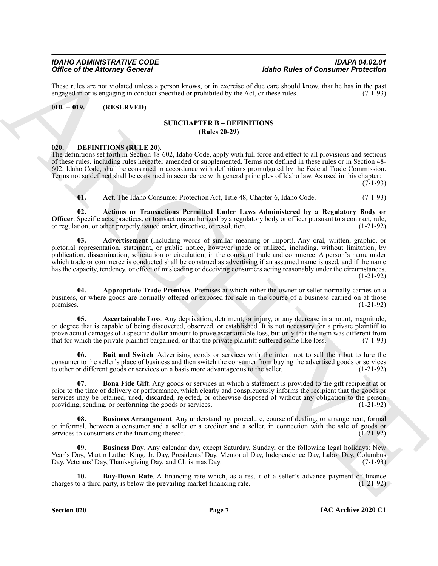These rules are not violated unless a person knows, or in exercise of due care should know, that he has in the past engaged in or is engaging in conduct specified or prohibited by the Act. or these rules. (7-1-93) engaged in or is engaging in conduct specified or prohibited by the Act, or these rules.

## <span id="page-6-1"></span><span id="page-6-0"></span>**010. -- 019. (RESERVED)**

### **SUBCHAPTER B – DEFINITIONS (Rules 20-29)**

### <span id="page-6-3"></span><span id="page-6-2"></span>**020. DEFINITIONS (RULE 20).**

The definitions set forth in Section 48-602, Idaho Code, apply with full force and effect to all provisions and sections of these rules, including rules hereafter amended or supplemented. Terms not defined in these rules or in Section 48- 602, Idaho Code, shall be construed in accordance with definitions promulgated by the Federal Trade Commission. Terms not so defined shall be construed in accordance with general principles of Idaho law. As used in this chapter:

 $(7-1-93)$ 

<span id="page-6-6"></span><span id="page-6-5"></span><span id="page-6-4"></span>**01.** Act. The Idaho Consumer Protection Act, Title 48, Chapter 6, Idaho Code. (7-1-93)

**02. Actions or Transactions Permitted Under Laws Administered by a Regulatory Body or Officer**. Specific acts, practices, or transactions authorized by a regulatory body or officer pursuant to a contract, rule, or regulation, or other properly issued order, directive, or resolution. (1-21-92)

Office of the Afternation Control is the proposition of the Research of the Research of the Research of the Research of the Research of the Research of the Research of the Research of the Research of the Research of the R **03. Advertisement** (including words of similar meaning or import). Any oral, written, graphic, or pictorial representation, statement, or public notice, however made or utilized, including, without limitation, by publication, dissemination, solicitation or circulation, in the course of trade and commerce. A person's name under which trade or commerce is conducted shall be construed as advertising if an assumed name is used, and if the name has the capacity, tendency, or effect of misleading or deceiving consumers acting reasonably under the circumstances. (1-21-92)

<span id="page-6-7"></span>**04. Appropriate Trade Premises**. Premises at which either the owner or seller normally carries on a business, or where goods are normally offered or exposed for sale in the course of a business carried on at those premises. (1-21-92)

<span id="page-6-8"></span>**05. Ascertainable Loss**. Any deprivation, detriment, or injury, or any decrease in amount, magnitude, or degree that is capable of being discovered, observed, or established. It is not necessary for a private plaintiff to prove actual damages of a specific dollar amount to prove ascertainable loss, but only that the item was different from that for which the private plaintiff bargained, or that the private plaintiff suffered some like loss. (7-1-93)

<span id="page-6-9"></span>**06. Bait and Switch**. Advertising goods or services with the intent not to sell them but to lure the consumer to the seller's place of business and then switch the consumer from buying the advertised goods or services to other or different goods or services on a basis more advantageous to the seller. (1-21-92)

<span id="page-6-10"></span>**07. Bona Fide Gift**. Any goods or services in which a statement is provided to the gift recipient at or prior to the time of delivery or performance, which clearly and conspicuously informs the recipient that the goods or services may be retained, used, discarded, rejected, or otherwise disposed of without any obligation to the person providing, sending, or performing the goods or services. (1-21-92)

<span id="page-6-11"></span>**08. Business Arrangement**. Any understanding, procedure, course of dealing, or arrangement, formal or informal, between a consumer and a seller or a creditor and a seller, in connection with the sale of goods or services to consumers or the financing thereof. (1-21-92)

<span id="page-6-12"></span>**09. Business Day**. Any calendar day, except Saturday, Sunday, or the following legal holidays: New Year's Day, Martin Luther King, Jr. Day, Presidents' Day, Memorial Day, Independence Day, Labor Day, Columbus Day, Veterans' Day, Thanksgiving Day, and Christmas Day. (7-1-93)

<span id="page-6-13"></span>**10. Buy-Down Rate**. A financing rate which, as a result of a seller's advance payment of finance to a third party, is below the prevailing market financing rate. (1-21-92) charges to a third party, is below the prevailing market financing rate.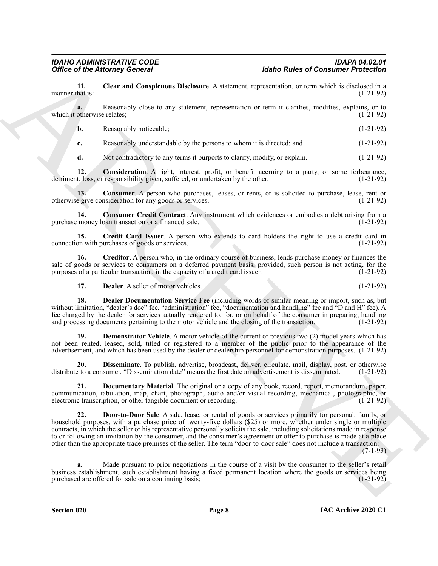<span id="page-7-0"></span>**11. Clear and Conspicuous Disclosure**. A statement, representation, or term which is disclosed in a manner that is:

**a.** Reasonably close to any statement, representation or term it clarifies, modifies, explains, or to which it otherwise relates; (1-21-92)

**b.** Reasonably noticeable; (1-21-92)

**c.** Reasonably understandable by the persons to whom it is directed; and (1-21-92)

<span id="page-7-2"></span><span id="page-7-1"></span>**d.** Not contradictory to any terms it purports to clarify, modify, or explain.  $(1-21-92)$ 

**12. Consideration**. A right, interest, profit, or benefit accruing to a party, or some forbearance, detriment, loss, or responsibility given, suffered, or undertaken by the other. (1-21-92)

**13.** Consumer. A person who purchases, leases, or rents, or is solicited to purchase, lease, rent or e give consideration for any goods or services. (1-21-92) otherwise give consideration for any goods or services.

<span id="page-7-3"></span>**14. Consumer Credit Contract**. Any instrument which evidences or embodies a debt arising from a purchase money loan transaction or a financed sale.

<span id="page-7-4"></span>**15.** Credit Card Issuer. A person who extends to card holders the right to use a credit card in on with purchases of goods or services. connection with purchases of goods or services.

**16. Creditor**. A person who, in the ordinary course of business, lends purchase money or finances the sale of goods or services to consumers on a deferred payment basis; provided, such person is not acting, for the purposes of a particular transaction, in the capacity of a credit card issuer. (1-21-92)

<span id="page-7-8"></span><span id="page-7-7"></span><span id="page-7-6"></span><span id="page-7-5"></span>**17. Dealer**. A seller of motor vehicles. (1-21-92)

**18. Dealer Documentation Service Fee** (including words of similar meaning or import, such as, but without limitation, "dealer's doc" fee, "administration" fee, "documentation and handling" fee and "D and H" fee). A fee charged by the dealer for services actually rendered to, for, or on behalf of the consumer in preparing, handling and processing documents pertaining to the motor vehicle and the closing of the transaction. (1-21-92)

**19. Demonstrator Vehicle**. A motor vehicle of the current or previous two (2) model years which has not been rented, leased, sold, titled or registered to a member of the public prior to the appearance of the advertisement, and which has been used by the dealer or dealership personnel for demonstration purposes. (1-21-92)

<span id="page-7-9"></span>**20. Disseminate**. To publish, advertise, broadcast, deliver, circulate, mail, display, post, or otherwise distribute to a consumer. "Dissemination date" means the first date an advertisement is disseminated. (1-21-92)

<span id="page-7-11"></span><span id="page-7-10"></span>**21. Documentary Material**. The original or a copy of any book, record, report, memorandum, paper, communication, tabulation, map, chart, photograph, audio and/or visual recording, mechanical, photographic, or electronic transcription, or other tangible document or recording. (1-21-92)

Office of the Attorney General<br>
manner that is Constant the Constant Arabitant representation, or term which is close to the Constant of the Constant of the Constant responsible, we term which is closely a stability of th **22. Door-to-Door Sale**. A sale, lease, or rental of goods or services primarily for personal, family, or household purposes, with a purchase price of twenty-five dollars (\$25) or more, whether under single or multiple contracts, in which the seller or his representative personally solicits the sale, including solicitations made in response to or following an invitation by the consumer, and the consumer's agreement or offer to purchase is made at a place other than the appropriate trade premises of the seller. The term "door-to-door sale" does not include a transaction:

 $(7-1-93)$ 

**a.** Made pursuant to prior negotiations in the course of a visit by the consumer to the seller's retail business establishment, such establishment having a fixed permanent location where the goods or services being<br>purchased are offered for sale on a continuing basis;<br>(1-21-92) purchased are offered for sale on a continuing basis;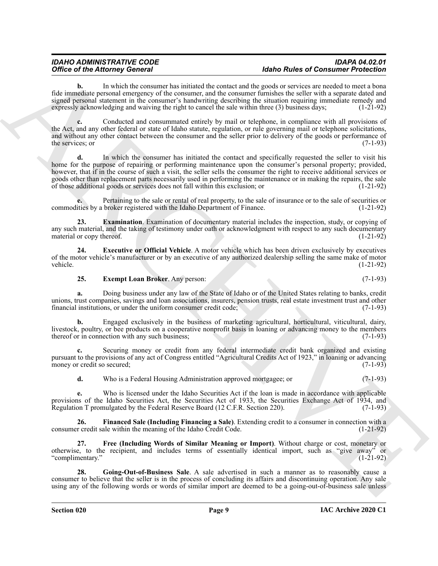**b.** In which the consumer has initiated the contact and the goods or services are needed to meet a bona fide immediate personal emergency of the consumer, and the consumer furnishes the seller with a separate dated and signed personal statement in the consumer's handwriting describing the situation requiring immediate remedy and expressly acknowledging and waiving the right to cancel the sale within three (3) business days; (1-21-92)

**c.** Conducted and consummated entirely by mail or telephone, in compliance with all provisions of the Act, and any other federal or state of Idaho statute, regulation, or rule governing mail or telephone solicitations, and without any other contact between the consumer and the seller prior to delivery of the goods or performance of the services; or  $(7-1-93)$ 

Office of the Alternative Second with the state in the state of the State of the Constant with the state of the state of the state of the state of the state of the state of the state of the state of the state of the state **d.** In which the consumer has initiated the contact and specifically requested the seller to visit his home for the purpose of repairing or performing maintenance upon the consumer's personal property; provided, however, that if in the course of such a visit, the seller sells the consumer the right to receive additional services or goods other than replacement parts necessarily used in performing the maintenance or in making the repairs, the sale of those additional goods or services does not fall within this exclusion; or (1-21-92)

**e.** Pertaining to the sale or rental of real property, to the sale of insurance or to the sale of securities or commodities by a broker registered with the Idaho Department of Finance. (1-21-92)

<span id="page-8-0"></span>**23. Examination**. Examination of documentary material includes the inspection, study, or copying of any such material, and the taking of testimony under oath or acknowledgment with respect to any such documentary<br>material or copy thereof. (1-21-92) material or copy thereof.

**24. Executive or Official Vehicle**. A motor vehicle which has been driven exclusively by executives of the motor vehicle's manufacturer or by an executive of any authorized dealership selling the same make of motor vehicle. (1-21-92) vehicle. (1-21-92)

# <span id="page-8-2"></span><span id="page-8-1"></span>**25. Exempt Loan Broker**. Any person: (7-1-93)

**a.** Doing business under any law of the State of Idaho or of the United States relating to banks, credit unions, trust companies, savings and loan associations, insurers, pension trusts, real estate investment trust and other financial institutions, or under the uniform consumer credit code; (7-1-93)

**b.** Engaged exclusively in the business of marketing agricultural, horticultural, viticultural, dairy, livestock, poultry, or bee products on a cooperative nonprofit basis in loaning or advancing money to the members thereof or in connection with any such business; (7-1-93)

**c.** Securing money or credit from any federal intermediate credit bank organized and existing pursuant to the provisions of any act of Congress entitled "Agricultural Credits Act of 1923," in loaning or advancing money or credit so secured;

<span id="page-8-3"></span>**d.** Who is a Federal Housing Administration approved mortgagee; or (7-1-93)

**e.** Who is licensed under the Idaho Securities Act if the loan is made in accordance with applicable provisions of the Idaho Securities Act, the Securities Act of 1933, the Securities Exchange Act of 1934, and Regulation T promulgated by the Federal Reserve Board (12 C.F.R. Section 220). (7-1-93) Regulation T promulgated by the Federal Reserve Board (12 C.F.R. Section 220).

**26. Financed Sale (Including Financing a Sale)**. Extending credit to a consumer in connection with a consumer credit sale within the meaning of the Idaho Credit Code. (1-21-92)

<span id="page-8-4"></span>**27. Free (Including Words of Similar Meaning or Import)**. Without charge or cost, monetary or otherwise, to the recipient, and includes terms of essentially identical import, such as "give away" or "complimentary."

<span id="page-8-5"></span>**28. Going-Out-of-Business Sale**. A sale advertised in such a manner as to reasonably cause a consumer to believe that the seller is in the process of concluding its affairs and discontinuing operation. Any sale using any of the following words or words of similar import are deemed to be a going-out-of-business sale unless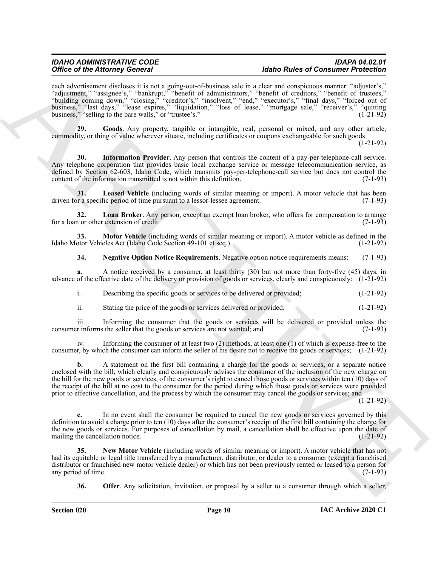Office of the Alternative Contract Particular and the Contract Particular and the Contract Particular and the Contract Particular and the Contract Particular and the Contract Particular and the Contract Particular and the each advertisement discloses it is not a going-out-of-business sale in a clear and conspicuous manner: "adjuster's," "adjustment," "assignee's," "bankrupt," "benefit of administrators," "benefit of creditors," "benefit of trustees," "building coming down," "closing," "creditor's," "insolvent," "end," "executor's," "final days," "forced out of business," "last days," "lease expires," "liquidation," "loss of lease," "mortgage sale," "receiver's," "quitting business," "selling to the bare walls," or "trustee's." (1-21-92)

<span id="page-9-0"></span>**29. Goods**. Any property, tangible or intangible, real, personal or mixed, and any other article, commodity, or thing of value wherever situate, including certificates or coupons exchangeable for such goods.

(1-21-92)

<span id="page-9-1"></span>**30. Information Provider**. Any person that controls the content of a pay-per-telephone-call service. Any telephone corporation that provides basic local exchange service or message telecommunication service, as defined by Section 62-603, Idaho Code, which transmits pay-per-telephone-call service but does not control the content of the information transmitted is not within this definition. (7-1-93)

<span id="page-9-2"></span>**31.** Leased Vehicle (including words of similar meaning or import). A motor vehicle that has been or a specific period of time pursuant to a lessor-lessee agreement. (7-1-93) driven for a specific period of time pursuant to a lessor-lessee agreement.

<span id="page-9-3"></span>**32. Loan Broker**. Any person, except an exempt loan broker, who offers for compensation to arrange for a loan or other extension of credit. (7-1-93)

**33. Motor Vehicle** (including words of similar meaning or import). A motor vehicle as defined in the otor Vehicles Act (Idaho Code Section 49-101 et seq.) Idaho Motor Vehicles Act (Idaho Code Section 49-101 et seq.)

<span id="page-9-5"></span><span id="page-9-4"></span>**34. Negative Option Notice Requirements**. Negative option notice requirements means: (7-1-93)

**a.** A notice received by a consumer, at least thirty (30) but not more than forty-five (45) days, in advance of the effective date of the delivery or provision of goods or services, clearly and conspicuously: (1-21-92)

i. Describing the specific goods or services to be delivered or provided; (1-21-92)

ii. Stating the price of the goods or services delivered or provided; (1-21-92)

iii. Informing the consumer that the goods or services will be delivered or provided unless the consumer informs the seller that the goods or services are not wanted; and

iv. Informing the consumer of at least two (2) methods, at least one (1) of which is expense-free to the consumer, by which the consumer can inform the seller of his desire not to receive the goods or services; (1-21-92)

**b.** A statement on the first bill containing a charge for the goods or services, or a separate notice enclosed with the bill, which clearly and conspicuously advises the consumer of the inclusion of the new charge on the bill for the new goods or services, of the consumer's right to cancel those goods or services within ten (10) days of the receipt of the bill at no cost to the consumer for the period during which those goods or services were provided prior to effective cancellation, and the process by which the consumer may cancel the goods or services; and

(1-21-92)

**c.** In no event shall the consumer be required to cancel the new goods or services governed by this definition to avoid a charge prior to ten (10) days after the consumer's receipt of the first bill containing the charge for the new goods or services. For purposes of cancellation by mail, a cancellation shall be effective upon the date of mailing the cancellation notice. (1-21-92) mailing the cancellation notice.

**35. New Motor Vehicle** (including words of similar meaning or import). A motor vehicle that has not had its equitable or legal title transferred by a manufacturer, distributor, or dealer to a consumer (except a franchised distributor or franchised new motor vehicle dealer) or which has not been previously rented or leased to a person for any period of time. any period of time.

<span id="page-9-7"></span><span id="page-9-6"></span>**36. Offer**. Any solicitation, invitation, or proposal by a seller to a consumer through which a seller,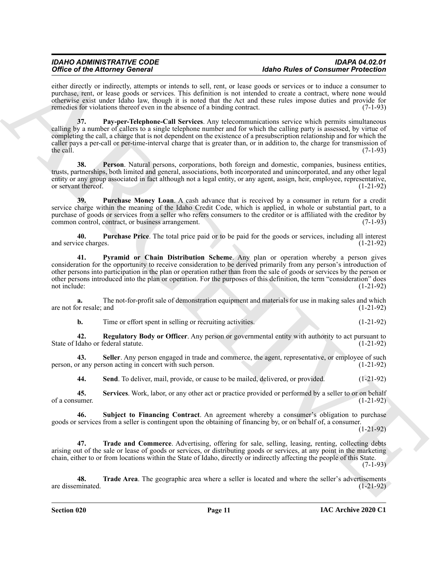<span id="page-10-0"></span>either directly or indirectly, attempts or intends to sell, rent, or lease goods or services or to induce a consumer to purchase, rent, or lease goods or services. This definition is not intended to create a contract, where none would otherwise exist under Idaho law, though it is noted that the Act and these rules impose duties and provide for remedies for violations thereof even in the absence of a binding contract. (7-1-93)

Office of the Alternative Society of the Alternative scheme and the Role Rudolphe and Containing Christian and the Alternative Scheme and The Containing Christian and The Containing Christian and The Containing Christian **37. Pay-per-Telephone-Call Services**. Any telecommunications service which permits simultaneous calling by a number of callers to a single telephone number and for which the calling party is assessed, by virtue of completing the call, a charge that is not dependent on the existence of a presubscription relationship and for which the caller pays a per-call or per-time-interval charge that is greater than, or in addition to, the charge for transmission of the call.  $(7-1-93)$ 

<span id="page-10-1"></span>**38. Person**. Natural persons, corporations, both foreign and domestic, companies, business entities, trusts, partnerships, both limited and general, associations, both incorporated and unincorporated, and any other legal entity or any group associated in fact although not a legal entity, or any agent, assign, heir, employee, representative, or servant thereof. (1-21-92)

<span id="page-10-2"></span>**39. Purchase Money Loan**. A cash advance that is received by a consumer in return for a credit service charge within the meaning of the Idaho Credit Code, which is applied, in whole or substantial part, to a purchase of goods or services from a seller who refers consumers to the creditor or is affiliated with the creditor by common control, contract, or business arrangement. (7-1-93)

<span id="page-10-3"></span>**40. Purchase Price**. The total price paid or to be paid for the goods or services, including all interest and service charges.

<span id="page-10-4"></span>**41. Pyramid or Chain Distribution Scheme**. Any plan or operation whereby a person gives consideration for the opportunity to receive consideration to be derived primarily from any person's introduction of other persons into participation in the plan or operation rather than from the sale of goods or services by the person or other persons introduced into the plan or operation. For the purposes of this definition, the term "consideration" does not include: (1-21-92)

**a.** The not-for-profit sale of demonstration equipment and materials for use in making sales and which are not for resale; and (1-21-92)

<span id="page-10-5"></span>**b.** Time or effort spent in selling or recruiting activities. (1-21-92)

**42. Regulatory Body or Officer**. Any person or governmental entity with authority to act pursuant to State of Idaho or federal statute. (1-21-92)

**43.** Seller. Any person engaged in trade and commerce, the agent, representative, or employee of such pr any person acting in concert with such person. (1-21-92) person, or any person acting in concert with such person.

<span id="page-10-9"></span><span id="page-10-8"></span><span id="page-10-7"></span><span id="page-10-6"></span>**44.** Send. To deliver, mail, provide, or cause to be mailed, delivered, or provided.  $(1-21-92)$ 

**45. Services**. Work, labor, or any other act or practice provided or performed by a seller to or on behalf of a consumer.  $(1-21-92)$ 

**46. Subject to Financing Contract**. An agreement whereby a consumer's obligation to purchase goods or services from a seller is contingent upon the obtaining of financing by, or on behalf of, a consumer.

(1-21-92)

<span id="page-10-10"></span>**47. Trade and Commerce**. Advertising, offering for sale, selling, leasing, renting, collecting debts arising out of the sale or lease of goods or services, or distributing goods or services, at any point in the marketing chain, either to or from locations within the State of Idaho, directly or indirectly affecting the people of this State. (7-1-93)

<span id="page-10-11"></span>**48. Trade Area**. The geographic area where a seller is located and where the seller's advertisements are disseminated. (1-21-92)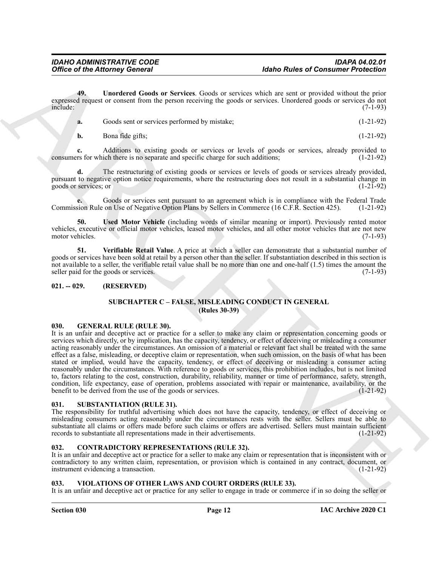**49. Unordered Goods or Services**. Goods or services which are sent or provided without the prior expressed request or consent from the person receiving the goods or services. Unordered goods or services do not include: (7-1-93) include: (7-1-93)

<span id="page-11-7"></span>

|           | Goods sent or services performed by mistake; | $(1-21-92)$ |
|-----------|----------------------------------------------|-------------|
| <b>b.</b> | Bona fide gifts;                             | $(1-21-92)$ |

Additions to existing goods or services or levels of goods or services, already provided to ich there is no separate and specific charge for such additions; (1-21-92) consumers for which there is no separate and specific charge for such additions;

**d.** The restructuring of existing goods or services or levels of goods or services already provided, pursuant to negative option notice requirements, where the restructuring does not result in a substantial change in goods or services; or (1-21-92)

**e.** Goods or services sent pursuant to an agreement which is in compliance with the Federal Trade Commission Rule on Use of Negative Option Plans by Sellers in Commerce (16 C.F.R. Section 425). (1-21-92)

<span id="page-11-8"></span>**50. Used Motor Vehicle** (including words of similar meaning or import). Previously rented motor vehicles, executive or official motor vehicles, leased motor vehicles, and all other motor vehicles that are not new motor vehicles.

<span id="page-11-9"></span>**51. Verifiable Retail Value**. A price at which a seller can demonstrate that a substantial number of goods or services have been sold at retail by a person other than the seller. If substantiation described in this section is not available to a seller, the verifiable retail value shall be no more than one and one-half (1.5) times the amount the seller paid for the goods or services. (7-1-93)

#### <span id="page-11-1"></span><span id="page-11-0"></span>**021. -- 029. (RESERVED)**

# **SUBCHAPTER C – FALSE, MISLEADING CONDUCT IN GENERAL (Rules 30-39)**

#### <span id="page-11-10"></span><span id="page-11-2"></span>**030. GENERAL RULE (RULE 30).**

Office of the Attorney General<br>
Adabe Rules of Constant Prediction<br>  $\Phi(t)$ . Unsected Goods or Service. Could a survey survive that a summarized particle in the prediction<br>
could support the attention of the species of the It is an unfair and deceptive act or practice for a seller to make any claim or representation concerning goods or services which directly, or by implication, has the capacity, tendency, or effect of deceiving or misleading a consumer acting reasonably under the circumstances. An omission of a material or relevant fact shall be treated with the same effect as a false, misleading, or deceptive claim or representation, when such omission, on the basis of what has been stated or implied, would have the capacity, tendency, or effect of deceiving or misleading a consumer acting reasonably under the circumstances. With reference to goods or services, this prohibition includes, but is not limited to, factors relating to the cost, construction, durability, reliability, manner or time of performance, safety, strength, condition, life expectancy, ease of operation, problems associated with repair or maintenance, availability, or the benefit to be derived from the use of the goods or services. (1-21-92) benefit to be derived from the use of the goods or services.

#### <span id="page-11-11"></span><span id="page-11-3"></span>**031. SUBSTANTIATION (RULE 31).**

The responsibility for truthful advertising which does not have the capacity, tendency, or effect of deceiving or misleading consumers acting reasonably under the circumstances rests with the seller. Sellers must be able to substantiate all claims or offers made before such claims or offers are advertised. Sellers must maintain sufficient records to substantiate all representations made in their advertisements. (1-21-92)

# <span id="page-11-6"></span><span id="page-11-4"></span>**032. CONTRADICTORY REPRESENTATIONS (RULE 32).**

It is an unfair and deceptive act or practice for a seller to make any claim or representation that is inconsistent with or contradictory to any written claim, representation, or provision which is contained in any contract, document, or instrument evidencing a transaction. (1-21-92)

# <span id="page-11-12"></span><span id="page-11-5"></span>**033. VIOLATIONS OF OTHER LAWS AND COURT ORDERS (RULE 33).**

It is an unfair and deceptive act or practice for any seller to engage in trade or commerce if in so doing the seller or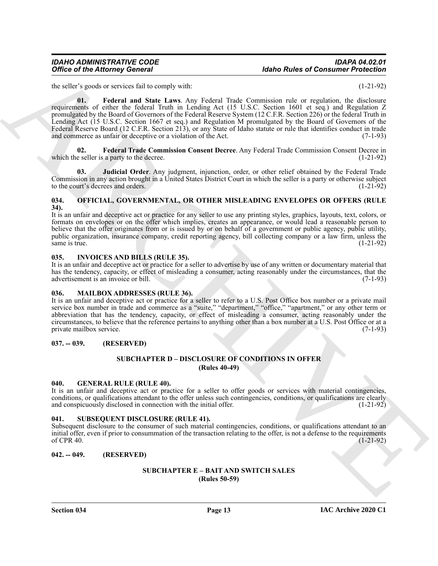## *IDAHO ADMINISTRATIVE CODE IDAPA 04.02.01* **Idaho Rules of Consumer Protection**

<span id="page-12-14"></span>the seller's goods or services fail to comply with: (1-21-92)

Office of the Altomasy General<br>
the state is used to be very both the state of Constant of the Substitution of the state of the state of the state of the state of the state of the state of the state of the state of the st **01. Federal and State Laws**. Any Federal Trade Commission rule or regulation, the disclosure requirements of either the federal Truth in Lending Act (15 U.S.C. Section 1601 et seq.) and Regulation Z promulgated by the Board of Governors of the Federal Reserve System (12 C.F.R. Section 226) or the federal Truth in Lending Act (15 U.S.C. Section 1667 et seq.) and Regulation M promulgated by the Board of Governors of the Federal Reserve Board (12 C.F.R. Section 213), or any State of Idaho statute or rule that identifies conduct in trade and commerce as unfair or deceptive or a violation of the Act. (7-1-93)

<span id="page-12-15"></span>**02. Federal Trade Commission Consent Decree**. Any Federal Trade Commission Consent Decree in which the seller is a party to the decree. (1-21-92)

<span id="page-12-16"></span>**03. Judicial Order**. Any judgment, injunction, order, or other relief obtained by the Federal Trade Commission in any action brought in a United States District Court in which the seller is a party or otherwise subject to the court's decrees and orders. (1-21-92)

### <span id="page-12-12"></span><span id="page-12-0"></span>**034. OFFICIAL, GOVERNMENTAL, OR OTHER MISLEADING ENVELOPES OR OFFERS (RULE 34).**

It is an unfair and deceptive act or practice for any seller to use any printing styles, graphics, layouts, text, colors, or formats on envelopes or on the offer which implies, creates an appearance, or would lead a reasonable person to believe that the offer originates from or is issued by or on behalf of a government or public agency, public utility, public organization, insurance company, credit reporting agency, bill collecting company or a law firm, unless the same is true. (1-21-92) same is true.  $(1-21-92)$ 

### <span id="page-12-10"></span><span id="page-12-1"></span>**035. INVOICES AND BILLS (RULE 35).**

It is an unfair and deceptive act or practice for a seller to advertise by use of any written or documentary material that has the tendency, capacity, or effect of misleading a consumer, acting reasonably under the circumstances, that the advertisement is an invoice or bill. (7-1-93) advertisement is an invoice or bill.

#### <span id="page-12-11"></span><span id="page-12-2"></span>**036. MAILBOX ADDRESSES (RULE 36).**

It is an unfair and deceptive act or practice for a seller to refer to a U.S. Post Office box number or a private mail service box number in trade and commerce as a "suite," "department," "office," "apartment," or any other term or abbreviation that has the tendency, capacity, or effect of misleading a consumer, acting reasonably under the circumstances, to believe that the reference pertains to anything other than a box number at a U.S. Post Office or at a private mailbox service.

# <span id="page-12-4"></span><span id="page-12-3"></span>**037. -- 039. (RESERVED)**

# **SUBCHAPTER D – DISCLOSURE OF CONDITIONS IN OFFER (Rules 40-49)**

# <span id="page-12-9"></span><span id="page-12-5"></span>**040. GENERAL RULE (RULE 40).**

It is an unfair and deceptive act or practice for a seller to offer goods or services with material contingencies, conditions, or qualifications attendant to the offer unless such contingencies, conditions, or qualifications are clearly and conspicuously disclosed in connection with the initial offer. (1-21-92)

# <span id="page-12-13"></span><span id="page-12-6"></span>**041. SUBSEQUENT DISCLOSURE (RULE 41).**

Subsequent disclosure to the consumer of such material contingencies, conditions, or qualifications attendant to an initial offer, even if prior to consummation of the transaction relating to the offer, is not a defense to the requirements of CPR 40. of CPR 40.  $(1-21-92)$ 

#### <span id="page-12-8"></span><span id="page-12-7"></span>**042. -- 049. (RESERVED)**

#### **SUBCHAPTER E – BAIT AND SWITCH SALES (Rules 50-59)**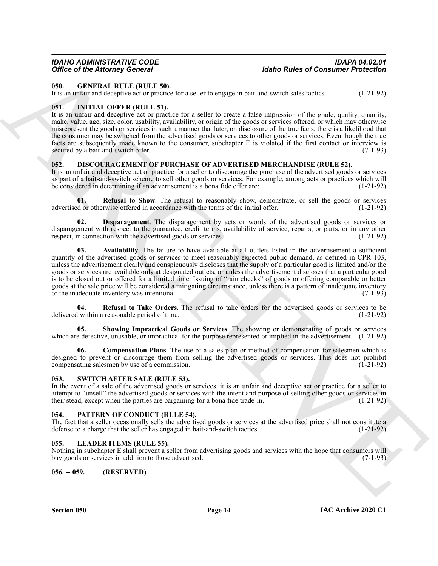# *Office of the Attorney General*

#### <span id="page-13-14"></span><span id="page-13-0"></span>**050. GENERAL RULE (RULE 50).**

It is an unfair and deceptive act or practice for a seller to engage in bait-and-switch sales tactics. (1-21-92)

### <span id="page-13-15"></span><span id="page-13-1"></span>**051. INITIAL OFFER (RULE 51).**

It is an unfair and deceptive act or practice for a seller to create a false impression of the grade, quality, quantity, make, value, age, size, color, usability, availability, or origin of the goods or services offered, or which may otherwise misrepresent the goods or services in such a manner that later, on disclosure of the true facts, there is a likelihood that the consumer may be switched from the advertised goods or services to other goods or services. Even though the true facts are subsequently made known to the consumer, subchapter E is violated if the first contact or interview is secured by a bait-and-switch offer. (7-1-93)

## <span id="page-13-7"></span><span id="page-13-2"></span>**052. DISCOURAGEMENT OF PURCHASE OF ADVERTISED MERCHANDISE (RULE 52).**

It is an unfair and deceptive act or practice for a seller to discourage the purchase of the advertised goods or services as part of a bait-and-switch scheme to sell other goods or services. For example, among acts or practices which will be considered in determining if an advertisement is a bona fide offer are: (1-21-92)

<span id="page-13-11"></span>**01. Refusal to Show**. The refusal to reasonably show, demonstrate, or sell the goods or services advertised or otherwise offered in accordance with the terms of the initial offer. (1-21-92)

<span id="page-13-10"></span><span id="page-13-8"></span>**Disparagement**. The disparagement by acts or words of the advertised goods or services or disparagement with respect to the guarantee, credit terms, availability of service, repairs, or parts, or in any other respect, in connection with the advertised goods or services. (1-21-92) respect, in connection with the advertised goods or services.

Office of the African Society of the Constant of the state of Constant Priorities of Constant Priorities (1.2142)<br>
1.8 and the Society of the Society of the Society of the Society of the Society of the Society of the Soci **03. Availability**. The failure to have available at all outlets listed in the advertisement a sufficient quantity of the advertised goods or services to meet reasonably expected public demand, as defined in CPR 103, unless the advertisement clearly and conspicuously discloses that the supply of a particular good is limited and/or the goods or services are available only at designated outlets, or unless the advertisement discloses that a particular good is to be closed out or offered for a limited time. Issuing of "rain checks" of goods or offering comparable or better goods at the sale price will be considered a mitigating circumstance, unless there is a pattern of inadequate inventory or the inadequate inventory was intentional. (7-1-93)

<span id="page-13-12"></span>**04. Refusal to Take Orders**. The refusal to take orders for the advertised goods or services to be delivered within a reasonable period of time. (1-21-92)

<span id="page-13-13"></span>**05. Showing Impractical Goods or Services**. The showing or demonstrating of goods or services which are defective, unusable, or impractical for the purpose represented or implied in the advertisement.  $(1-21-92)$ 

<span id="page-13-9"></span>**06. Compensation Plans**. The use of a sales plan or method of compensation for salesmen which is designed to prevent or discourage them from selling the advertised goods or services. This does not prohibit compensating salesmen by use of a commission. (1-21-92) compensating salesmen by use of a commission.

#### <span id="page-13-18"></span><span id="page-13-3"></span>**053. SWITCH AFTER SALE (RULE 53).**

In the event of a sale of the advertised goods or services, it is an unfair and deceptive act or practice for a seller to attempt to "unsell" the advertised goods or services with the intent and purpose of selling other goods or services in their stead, except when the parties are bargaining for a bona fide trade-in. (1-21-92)

# <span id="page-13-17"></span><span id="page-13-4"></span>**054. PATTERN OF CONDUCT (RULE 54).**

The fact that a seller occasionally sells the advertised goods or services at the advertised price shall not constitute a defense to a charge that the seller has engaged in bait-and-switch tactics. (1-21-92)

# <span id="page-13-16"></span><span id="page-13-5"></span>**055. LEADER ITEMS (RULE 55).**

Nothing in subchapter E shall prevent a seller from advertising goods and services with the hope that consumers will buy goods or services in addition to those advertised. (7-1-93)

# <span id="page-13-6"></span>**056. -- 059. (RESERVED)**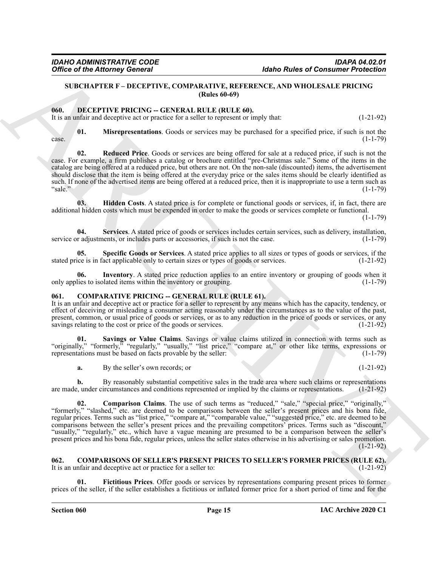# <span id="page-14-15"></span><span id="page-14-0"></span>**SUBCHAPTER F – DECEPTIVE, COMPARATIVE, REFERENCE, AND WHOLESALE PRICING (Rules 60-69)**

#### <span id="page-14-1"></span>**060. DECEPTIVE PRICING -- GENERAL RULE (RULE 60).**

It is an unfair and deceptive act or practice for a seller to represent or imply that: (1-21-92)

<span id="page-14-11"></span>**01. Misrepresentations**. Goods or services may be purchased for a specified price, if such is not the  $\csc 2$  (1-1-79)

<span id="page-14-12"></span>**02. Reduced Price**. Goods or services are being offered for sale at a reduced price, if such is not the case. For example, a firm publishes a catalog or brochure entitled "pre-Christmas sale." Some of the items in the catalog are being offered at a reduced price, but others are not. On the non-sale (discounted) items, the advertisement should disclose that the item is being offered at the everyday price or the sales items should be clearly identified as such. If none of the advertised items are being offered at a reduced price, then it is inappropriate to use a term such as "sale." (1-1-79) "sale." (1-1-79)

<span id="page-14-9"></span>**03. Hidden Costs**. A stated price is for complete or functional goods or services, if, in fact, there are additional hidden costs which must be expended in order to make the goods or services complete or functional.

 $(1 - 1 - 79)$ 

<span id="page-14-13"></span>**04. Services**. A stated price of goods or services includes certain services, such as delivery, installation, service or adjustments, or includes parts or accessories, if such is not the case.  $(1-1-79)$ 

<span id="page-14-14"></span>**05. Specific Goods or Services**. A stated price applies to all sizes or types of goods or services, if the stated price is in fact applicable only to certain sizes or types of goods or services. (1-21-92)

<span id="page-14-10"></span>**06.** Inventory. A stated price reduction applies to an entire inventory or grouping of goods when it lies to isolated items within the inventory or grouping. only applies to isolated items within the inventory or grouping.

#### <span id="page-14-4"></span><span id="page-14-2"></span>**COMPARATIVE PRICING -- GENERAL RULE (RULE 61).**

It is an unfair and deceptive act or practice for a seller to represent by any means which has the capacity, tendency, or effect of deceiving or misleading a consumer acting reasonably under the circumstances as to the value of the past, present, common, or usual price of goods or services, or as to any reduction in the price of goods or services, or any savings relating to the cost or price of the goods or services. (1-21-92)

**01. Savings or Value Claims**. Savings or value claims utilized in connection with terms such as "originally," "formerly," "regularly," "usually," "list price," "compare at," or other like terms, expressions or representations must be based on facts provable by the seller: (1-1-79)

<span id="page-14-6"></span><span id="page-14-5"></span>**a.** By the seller's own records; or (1-21-92)

**b.** By reasonably substantial competitive sales in the trade area where such claims or representations  $\cdot$ , under circumstances and conditions represented or implied by the claims or representations. (1-21-92) are made, under circumstances and conditions represented or implied by the claims or representations.

Office of the Attorney General<br>
State Real of Attachement Construction (Attachement Construction 2018)<br>
State Real of Attachement Construction 2018<br>
For a matter in the Construction 2018 (Attachement Construction 2018)<br>
T **02. Comparison Claims**. The use of such terms as "reduced," "sale," "special price," "originally," "formerly," "slashed," etc. are deemed to be comparisons between the seller's present prices and his bona fide, regular prices. Terms such as "list price," "compare at," "comparable value," "suggested price," etc. are deemed to be comparisons between the seller's present prices and the prevailing competitors' prices. Terms such as "discount," "usually," "regularly," etc., which have a vague meaning are presumed to be a comparison between the seller's present prices and his bona fide, regular prices, unless the seller states otherwise in his advertising or sales promotion.  $(1-21-92)$ 

#### <span id="page-14-7"></span><span id="page-14-3"></span>**062.** COMPARISONS OF SELLER'S PRESENT PRICES TO SELLER'S FORMER PRICES (RULE 62).<br>It is an unfair and deceptive act or practice for a seller to: (1-21-92) It is an unfair and deceptive act or practice for a seller to:

<span id="page-14-8"></span>**01. Fictitious Prices**. Offer goods or services by representations comparing present prices to former prices of the seller, if the seller establishes a fictitious or inflated former price for a short period of time and for the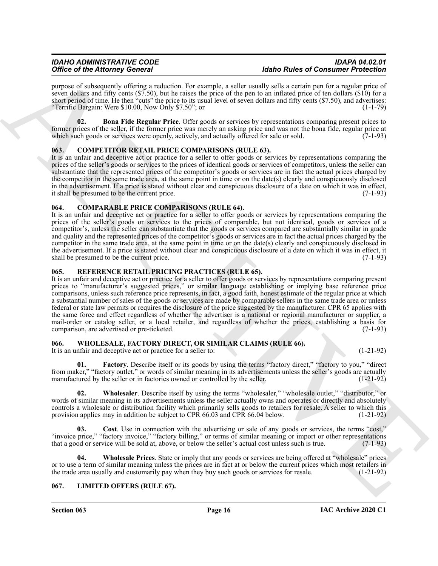purpose of subsequently offering a reduction. For example, a seller usually sells a certain pen for a regular price of seven dollars and fifty cents (\$7.50), but he raises the price of the pen to an inflated price of ten dollars (\$10) for a short period of time. He then "cuts" the price to its usual level of seven dollars and fifty cents (\$7.50), and advertises: "Terrific Bargain: Were \$10.00, Now Only \$7.50"; or  $(1-1-79)$ 

<span id="page-15-6"></span>**02. Bona Fide Regular Price**. Offer goods or services by representations comparing present prices to former prices of the seller, if the former price was merely an asking price and was not the bona fide, regular price at which such goods or services were openly, actively, and actually offered for sale or sold.  $(7-1-93)$ 

# <span id="page-15-7"></span><span id="page-15-0"></span>**063. COMPETITOR RETAIL PRICE COMPARISONS (RULE 63).**

It is an unfair and deceptive act or practice for a seller to offer goods or services by representations comparing the prices of the seller's goods or services to the prices of identical goods or services of competitors, unless the seller can substantiate that the represented prices of the competitor's goods or services are in fact the actual prices charged by the competitor in the same trade area, at the same point in time or on the date(s) clearly and conspicuously disclosed in the advertisement. If a price is stated without clear and conspicuous disclosure of a date on which it was in effect, it shall be presumed to be the current price. (7-1-93)

# <span id="page-15-5"></span><span id="page-15-1"></span>**064. COMPARABLE PRICE COMPARISONS (RULE 64).**

It is an unfair and deceptive act or practice for a seller to offer goods or services by representations comparing the prices of the seller's goods or services to the prices of comparable, but not identical, goods or services of a competitor's, unless the seller can substantiate that the goods or services compared are substantially similar in grade and quality and the represented prices of the competitor's goods or services are in fact the actual prices charged by the competitor in the same trade area, at the same point in time or on the date(s) clearly and conspicuously disclosed in the advertisement. If a price is stated without clear and conspicuous disclosure of a date on which it was in effect, it shall be presumed to be the current price. (7-1-93)

# <span id="page-15-9"></span><span id="page-15-2"></span>**065. REFERENCE RETAIL PRICING PRACTICES (RULE 65).**

Office of the Alternative Contract Entrepreneut and the Research of the Constraints of the Constraints of the Constraints of the Constraints of the Constraints of the Constraints of the Constraints of the Constraints of t It is an unfair and deceptive act or practice for a seller to offer goods or services by representations comparing present prices to "manufacturer's suggested prices," or similar language establishing or implying base reference price comparisons, unless such reference price represents, in fact, a good faith, honest estimate of the regular price at which a substantial number of sales of the goods or services are made by comparable sellers in the same trade area or unless federal or state law permits or requires the disclosure of the price suggested by the manufacturer. CPR 65 applies with the same force and effect regardless of whether the advertiser is a national or regional manufacturer or supplier, a mail-order or catalog seller, or a local retailer, and regardless of whether the prices, establishing a basis for comparison, are advertised or pre-ticketed. (7-1-93) comparison, are advertised or pre-ticketed.

# <span id="page-15-10"></span><span id="page-15-3"></span>**066. WHOLESALE, FACTORY DIRECT, OR SIMILAR CLAIMS (RULE 66).**

It is an unfair and deceptive act or practice for a seller to: (1-21-92)

<span id="page-15-12"></span>**01. Factory**. Describe itself or its goods by using the terms "factory direct," "factory to you," "direct from maker," "factory outlet," or words of similar meaning in its advertisements unless the seller's goods are actually manufactured by the seller or in factories owned or controlled by the seller. (1-21-92)

<span id="page-15-14"></span>**02.** Wholesaler. Describe itself by using the terms "wholesaler," "wholesale outlet," "distributor," or words of similar meaning in its advertisements unless the seller actually owns and operates or directly and absolutely controls a wholesale or distribution facility which primarily sells goods to retailers for resale. A seller to which this provision applies may in addition be subject to CPR 66.03 and CPR 66.04 below. (1-21-92)

<span id="page-15-11"></span>**Cost**. Use in connection with the advertising or sale of any goods or services, the terms "cost," "invoice price," "factory invoice," "factory billing," or terms of similar meaning or import or other representations that a good or service will be sold at, above, or below the seller's actual cost unless such is true. (7-1-93)

<span id="page-15-13"></span>**04. Wholesale Prices**. State or imply that any goods or services are being offered at "wholesale" prices or to use a term of similar meaning unless the prices are in fact at or below the current prices which most retailers in the trade area usually and customarily pay when they buy such goods or services for resale. (1-21-92) the trade area usually and customarily pay when they buy such goods or services for resale.

# <span id="page-15-8"></span><span id="page-15-4"></span>**067. LIMITED OFFERS (RULE 67).**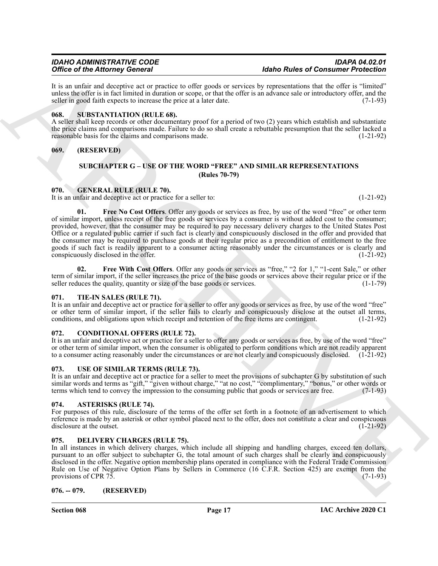It is an unfair and deceptive act or practice to offer goods or services by representations that the offer is "limited" unless the offer is in fact limited in duration or scope, or that the offer is an advance sale or introductory offer, and the seller in good faith expects to increase the price at a later date.  $(7-1-93)$ 

### <span id="page-16-16"></span><span id="page-16-0"></span>**068. SUBSTANTIATION (RULE 68).**

A seller shall keep records or other documentary proof for a period of two (2) years which establish and substantiate the price claims and comparisons made. Failure to do so shall create a rebuttable presumption that the seller lacked a reasonable basis for the claims and comparisons made. (1-21-92)

# <span id="page-16-2"></span><span id="page-16-1"></span>**069. (RESERVED)**

## <span id="page-16-14"></span><span id="page-16-13"></span>**SUBCHAPTER G – USE OF THE WORD "FREE" AND SIMILAR REPRESENTATIONS (Rules 70-79)**

# <span id="page-16-3"></span>**070. GENERAL RULE (RULE 70).**

It is an unfair and deceptive act or practice for a seller to: (1-21-92)

One of the Alternative General Counter and the space of the Alternative Mathematical Definition (and the Communication of the Alternative Counter and the Communication of the Communication (a) (a) (b) (b) (b) (b) (b) (b) **01. Free No Cost Offers**. Offer any goods or services as free, by use of the word "free" or other term of similar import, unless receipt of the free goods or services by a consumer is without added cost to the consumer; provided, however, that the consumer may be required to pay necessary delivery charges to the United States Post Office or a regulated public carrier if such fact is clearly and conspicuously disclosed in the offer and provided that the consumer may be required to purchase goods at their regular price as a precondition of entitlement to the free goods if such fact is readily apparent to a consumer acting reasonably under the circumstances or is clearly and conspicuously disclosed in the offer. (1-21-92)

<span id="page-16-15"></span>**02. Free With Cost Offers**. Offer any goods or services as "free," "2 for 1," "1-cent Sale," or other term of similar import, if the seller increases the price of the base goods or services above their regular price or if the seller reduces the quality, quantity or size of the base goods or services. (1-1-79) seller reduces the quality, quantity or size of the base goods or services.

# <span id="page-16-17"></span><span id="page-16-4"></span>**071. TIE-IN SALES (RULE 71).**

It is an unfair and deceptive act or practice for a seller to offer any goods or services as free, by use of the word "free" or other term of similar import, if the seller fails to clearly and conspicuously disclose at the outset all terms, conditions, and obligations upon which receipt and retention of the free items are contingent. (1-21-92)

# <span id="page-16-11"></span><span id="page-16-5"></span>**072. CONDITIONAL OFFERS (RULE 72).**

It is an unfair and deceptive act or practice for a seller to offer any goods or services as free, by use of the word "free" or other term of similar import, when the consumer is obligated to perform conditions which are not readily apparent to a consumer acting reasonably under the circumstances or are not clearly and conspicuously disclosed. (1-21-92)

# <span id="page-16-18"></span><span id="page-16-6"></span>**073. USE OF SIMILAR TERMS (RULE 73).**

It is an unfair and deceptive act or practice for a seller to meet the provisions of subchapter G by substitution of such similar words and terms as "gift," "given without charge," "at no cost," "complimentary," "bonus," or other words or terms which tend to convey the impression to the consuming public that goods or services are free. (7-1-93)

# <span id="page-16-10"></span><span id="page-16-7"></span>**074. ASTERISKS (RULE 74).**

For purposes of this rule, disclosure of the terms of the offer set forth in a footnote of an advertisement to which reference is made by an asterisk or other symbol placed next to the offer, does not constitute a clear and conspicuous disclosure at the outset. (1-21-92)

# <span id="page-16-12"></span><span id="page-16-8"></span>**075. DELIVERY CHARGES (RULE 75).**

In all instances in which delivery charges, which include all shipping and handling charges, exceed ten dollars, pursuant to an offer subject to subchapter G, the total amount of such charges shall be clearly and conspicuously disclosed in the offer. Negative option membership plans operated in compliance with the Federal Trade Commission Rule on Use of Negative Option Plans by Sellers in Commerce (16 C.F.R. Section 425) are exempt from the provisions of CPR 75.  $(7-1-93)$ 

# <span id="page-16-9"></span>**076. -- 079. (RESERVED)**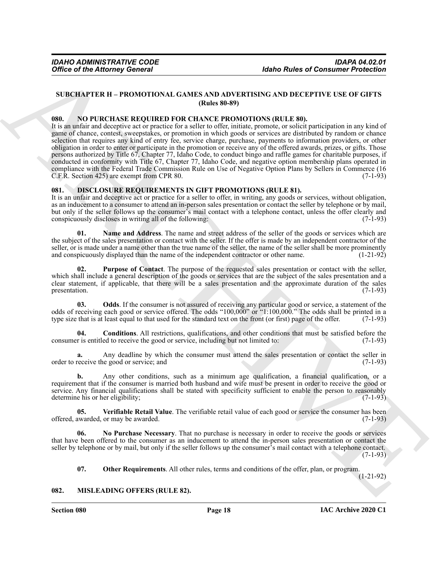# <span id="page-17-0"></span>**SUBCHAPTER H – PROMOTIONAL GAMES AND ADVERTISING AND DECEPTIVE USE OF GIFTS (Rules 80-89)**

#### <span id="page-17-13"></span><span id="page-17-1"></span>**080. NO PURCHASE REQUIRED FOR CHANCE PROMOTIONS (RULE 80).**

Office of the Attorney General<br>
Make Sugar Adapte Sugar Adapte Sugar Adapte Sugar Adapte Sugar Adapte Sugar Adapte Sugar Adapte Sugar Adapte Sugar Adapte Sugar Adapte Sugar Adapte Sugar Adapte Sugar Adapte Sugar Adapte Su It is an unfair and deceptive act or practice for a seller to offer, initiate, promote, or solicit participation in any kind of game of chance, contest, sweepstakes, or promotion in which goods or services are distributed by random or chance selection that requires any kind of entry fee, service charge, purchase, payments to information providers, or other obligation in order to enter or participate in the promotion or receive any of the offered awards, prizes, or gifts. Those persons authorized by Title 67, Chapter 77, Idaho Code, to conduct bingo and raffle games for charitable purposes, if conducted in conformity with Title 67, Chapter 77, Idaho Code, and negative option membership plans operated in compliance with the Federal Trade Commission Rule on Use of Negative Option Plans by Sellers in Commerce (16<br>C.F.R. Section 425) are exempt from CPR 80. C.F.R. Section 425) are exempt from CPR 80.

### <span id="page-17-4"></span><span id="page-17-2"></span>**081. DISCLOSURE REQUIREMENTS IN GIFT PROMOTIONS (RULE 81).**

It is an unfair and deceptive act or practice for a seller to offer, in writing, any goods or services, without obligation, as an inducement to a consumer to attend an in-person sales presentation or contact the seller by telephone or by mail, but only if the seller follows up the consumer's mail contact with a telephone contact, unless the offer clearly and conspicuously discloses in writing all of the following: conspicuously discloses in writing all of the following:

<span id="page-17-6"></span>**01. Name and Address**. The name and street address of the seller of the goods or services which are the subject of the sales presentation or contact with the seller. If the offer is made by an independent contractor of the seller, or is made under a name other than the true name of the seller, the name of the seller shall be more prominently and conspicuously displayed than the name of the independent contractor or other name. (1-21-92)

<span id="page-17-10"></span>**02. Purpose of Contact**. The purpose of the requested sales presentation or contact with the seller, which shall include a general description of the goods or services that are the subject of the sales presentation and a clear statement, if applicable, that there will be a sales presentation and the approximate duration of the sales presentation. (7-1-93) presentation.  $(7-1-93)$ 

<span id="page-17-8"></span>**03.** Odds. If the consumer is not assured of receiving any particular good or service, a statement of the odds of receiving each good or service offered. The odds "100,000" or "1:100,000." The odds shall be printed in a type size that is at least equal to that used for the standard text on the front (or first) page of the offer. (7-1-93)

<span id="page-17-5"></span>**04. Conditions**. All restrictions, qualifications, and other conditions that must be satisfied before the consumer is entitled to receive the good or service, including but not limited to: (7-1-93)

**a.** Any deadline by which the consumer must attend the sales presentation or contact the seller in order to receive the good or service; and (7-1-93)

**b.** Any other conditions, such as a minimum age qualification, a financial qualification, or a requirement that if the consumer is married both husband and wife must be present in order to receive the good or service. Any financial qualifications shall be stated with specificity sufficient to enable the person to reasonably determine his or her eligibility; (7-1-93)

<span id="page-17-11"></span>**05. Verifiable Retail Value**. The verifiable retail value of each good or service the consumer has been offered, awarded, or may be awarded.  $(7-1-93)$ 

**06. No Purchase Necessary**. That no purchase is necessary in order to receive the goods or services that have been offered to the consumer as an inducement to attend the in-person sales presentation or contact the seller by telephone or by mail, but only if the seller follows up the consumer's mail contact with a telephone contact.  $(7-1-93)$ 

<span id="page-17-12"></span><span id="page-17-9"></span><span id="page-17-7"></span>**07. Other Requirements**. All other rules, terms and conditions of the offer, plan, or program.

(1-21-92)

#### <span id="page-17-3"></span>**082. MISLEADING OFFERS (RULE 82).**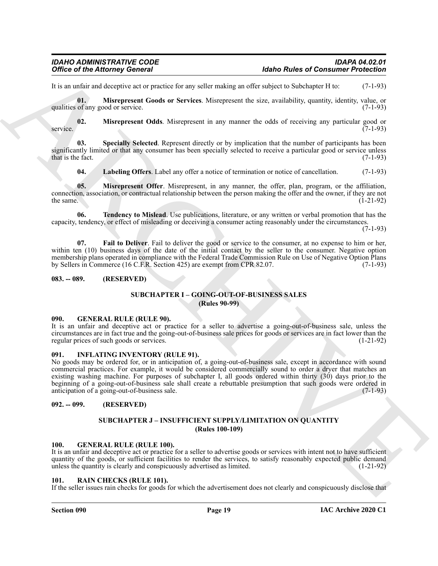It is an unfair and deceptive act or practice for any seller making an offer subject to Subchapter H to: (7-1-93)

<span id="page-18-13"></span>**01. Misrepresent Goods or Services**. Misrepresent the size, availability, quantity, identity, value, or qualities of any good or service. (7-1-93)

<span id="page-18-14"></span>**02. Misrepresent Odds**. Misrepresent in any manner the odds of receiving any particular good or  $(7-1-93)$ service. (7-1-93)

**03. Specially Selected**. Represent directly or by implication that the number of participants has been significantly limited or that any consumer has been specially selected to receive a particular good or service unless that is the fact.  $(7-1-93)$ 

<span id="page-18-17"></span><span id="page-18-16"></span><span id="page-18-15"></span><span id="page-18-12"></span>**04. Labeling Offers**. Label any offer a notice of termination or notice of cancellation. (7-1-93)

**05. Misrepresent Offer**. Misrepresent, in any manner, the offer, plan, program, or the affiliation, connection, association, or contractual relationship between the person making the offer and the owner, if they are not the same.  $(1-21-92)$ 

**06. Tendency to Mislead**. Use publications, literature, or any written or verbal promotion that has the capacity, tendency, or effect of misleading or deceiving a consumer acting reasonably under the circumstances.

(7-1-93)

<span id="page-18-11"></span>**07. Fail to Deliver**. Fail to deliver the good or service to the consumer, at no expense to him or her, within ten (10) business days of the date of the initial contact by the seller to the consumer. Negative option membership plans operated in compliance with the Federal Trade Commission Rule on Use of Negative Option Plans<br>by Sellers in Commerce (16 C.F.R. Section 425) are exempt from CPR 82.07. by Sellers in Commerce (16 C.F.R. Section 425) are exempt from CPR 82.07.

### <span id="page-18-1"></span><span id="page-18-0"></span>**083. -- 089. (RESERVED)**

### **SUBCHAPTER I – GOING-OUT-OF-BUSINESS SALES (Rules 90-99)**

#### <span id="page-18-8"></span><span id="page-18-2"></span>**090. GENERAL RULE (RULE 90).**

It is an unfair and deceptive act or practice for a seller to advertise a going-out-of-business sale, unless the circumstances are in fact true and the going-out-of-business sale prices for goods or services are in fact lower than the regular prices of such goods or services. (1-21-92)

#### <span id="page-18-10"></span><span id="page-18-3"></span>**091. INFLATING INVENTORY (RULE 91).**

Office of the Altomacy General<br>
1. Solid Research Joseph Scheme and Solid Research Scheme and Scheme and Scheme and Scheme and Scheme and Scheme and Scheme and Scheme and Scheme and Scheme and Scheme and Scheme and Scheme No goods may be ordered for, or in anticipation of, a going-out-of-business sale, except in accordance with sound commercial practices. For example, it would be considered commercially sound to order a dryer that matches an existing washing machine. For purposes of subchapter I, all goods ordered within thirty (30) days prior to the beginning of a going-out-of-business sale shall create a rebuttable presumption that such goods were ordered in anticipation of a going-out-of-business sale. anticipation of a going-out-of-business sale.

# <span id="page-18-5"></span><span id="page-18-4"></span>**092. -- 099. (RESERVED)**

# **SUBCHAPTER J – INSUFFICIENT SUPPLY/LIMITATION ON QUANTITY (Rules 100-109)**

#### <span id="page-18-9"></span><span id="page-18-6"></span>**100. GENERAL RULE (RULE 100).**

It is an unfair and deceptive act or practice for a seller to advertise goods or services with intent not to have sufficient quantity of the goods, or sufficient facilities to render the services, to satisfy reasonably expected public demand unless the quantity is clearly and conspicuously advertised as limited. (1-21-92)

#### <span id="page-18-18"></span><span id="page-18-7"></span>**101. RAIN CHECKS (RULE 101).**

If the seller issues rain checks for goods for which the advertisement does not clearly and conspicuously disclose that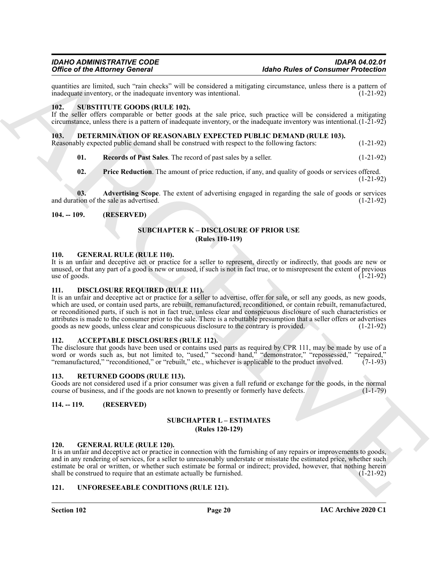quantities are limited, such "rain checks" will be considered a mitigating circumstance, unless there is a pattern of inadequate inventory was intentional. inadequate inventory, or the inadequate inventory was intentional.

### <span id="page-19-21"></span><span id="page-19-0"></span>**102. SUBSTITUTE GOODS (RULE 102).**

If the seller offers comparable or better goods at the sale price, such practice will be considered a mitigating circumstance, unless there is a pattern of inadequate inventory, or the inadequate inventory was intentional.  $(1-21-92)$ 

#### <span id="page-19-13"></span><span id="page-19-1"></span>**103. DETERMINATION OF REASONABLY EXPECTED PUBLIC DEMAND (RULE 103).**

Reasonably expected public demand shall be construed with respect to the following factors: (1-21-92)

- <span id="page-19-16"></span>**01. Records of Past Sales**. The record of past sales by a seller. (1-21-92)
- <span id="page-19-15"></span><span id="page-19-14"></span>**02. Price Reduction**. The amount of price reduction, if any, and quality of goods or services offered. (1-21-92)

**03. Advertising Scope**. The extent of advertising engaged in regarding the sale of goods or services tion of the sale as advertised. (1-21-92) and duration of the sale as advertised.

### <span id="page-19-3"></span><span id="page-19-2"></span>**104. -- 109. (RESERVED)**

### **SUBCHAPTER K – DISCLOSURE OF PRIOR USE (Rules 110-119)**

#### <span id="page-19-18"></span><span id="page-19-4"></span>**110. GENERAL RULE (RULE 110).**

It is an unfair and deceptive act or practice for a seller to represent, directly or indirectly, that goods are new or unused, or that any part of a good is new or unused, if such is not in fact true, or to misrepresent the extent of previous use of goods.  $(1-21-92)$ 

#### <span id="page-19-17"></span><span id="page-19-5"></span>**111. DISCLOSURE REQUIRED (RULE 111).**

Office of the African space of the state of the state of constants of the State of Constants Presidential<br>
must be a latter than the state of the state of the state of the state of the state of the state of the state of t It is an unfair and deceptive act or practice for a seller to advertise, offer for sale, or sell any goods, as new goods, which are used, or contain used parts, are rebuilt, remanufactured, reconditioned, or contain rebuilt, remanufactured, or reconditioned parts, if such is not in fact true, unless clear and conspicuous disclosure of such characteristics or attributes is made to the consumer prior to the sale. There is a rebuttable presumption that a seller offers or advertises goods as new goods, unless clear and conspicuous disclosure to the contrary is provided. (1-21-92)

### <span id="page-19-12"></span><span id="page-19-6"></span>**112. ACCEPTABLE DISCLOSURES (RULE 112).**

The disclosure that goods have been used or contains used parts as required by CPR 111, may be made by use of a word or words such as, but not limited to, "used," "second hand," "demonstrator," "repossessed," "repaired," "remanufactured," "reconditioned," or "rebuilt," etc., whichever is applicable to the product involved. (7-1-93)

#### <span id="page-19-20"></span><span id="page-19-7"></span>**113. RETURNED GOODS (RULE 113).**

Goods are not considered used if a prior consumer was given a full refund or exchange for the goods, in the normal course of business, and if the goods are not known to presently or formerly have defects. (1-1-79)

#### <span id="page-19-9"></span><span id="page-19-8"></span>**114. -- 119. (RESERVED)**

#### **SUBCHAPTER L – ESTIMATES (Rules 120-129)**

#### <span id="page-19-19"></span><span id="page-19-10"></span>**120. GENERAL RULE (RULE 120).**

It is an unfair and deceptive act or practice in connection with the furnishing of any repairs or improvements to goods, and in any rendering of services, for a seller to unreasonably understate or misstate the estimated price, whether such estimate be oral or written, or whether such estimate be formal or indirect; provided, however, that nothing herein shall be construed to require that an estimate actually be furnished. (1-21-92)

#### <span id="page-19-22"></span><span id="page-19-11"></span>**121. UNFORESEEABLE CONDITIONS (RULE 121).**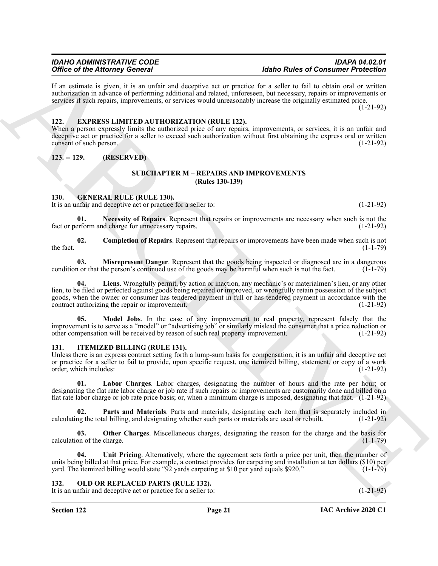If an estimate is given, it is an unfair and deceptive act or practice for a seller to fail to obtain oral or written authorization in advance of performing additional and related, unforeseen, but necessary, repairs or improvements or services if such repairs, improvements, or services would unreasonably increase the originally estimated price.

(1-21-92)

### <span id="page-20-6"></span><span id="page-20-0"></span>**122. EXPRESS LIMITED AUTHORIZATION (RULE 122).**

When a person expressly limits the authorized price of any repairs, improvements, or services, it is an unfair and deceptive act or practice for a seller to exceed such authorization without first obtaining the express oral or written consent of such person. (1-21-92)

<span id="page-20-2"></span><span id="page-20-1"></span>**123. -- 129. (RESERVED)**

# <span id="page-20-12"></span>**SUBCHAPTER M – REPAIRS AND IMPROVEMENTS (Rules 130-139)**

#### <span id="page-20-7"></span><span id="page-20-3"></span>**130. GENERAL RULE (RULE 130).**

It is an unfair and deceptive act or practice for a seller to: (1-21-92)

**01. Necessity of Repairs**. Represent that repairs or improvements are necessary when such is not the fact or perform and charge for unnecessary repairs. (1-21-92)

<span id="page-20-8"></span>**02. Completion of Repairs**. Represent that repairs or improvements have been made when such is not the fact.  $(1-1-79)$ 

<span id="page-20-10"></span><span id="page-20-9"></span>**03. Misrepresent Danger**. Represent that the goods being inspected or diagnosed are in a dangerous condition or that the person's continued use of the goods may be harmful when such is not the fact. (1-1-79)

Office of the Alternative Society of the Society of the Society of the Rose Robert and Society of the Alternative Society of the Society of the Society of the Society of the Society of the Society of the Society of the So **04. Liens**. Wrongfully permit, by action or inaction, any mechanic's or materialmen's lien, or any other lien, to be filed or perfected against goods being repaired or improved, or wrongfully retain possession of the subject goods, when the owner or consumer has tendered payment in full or has tendered payment in accordance with the contract authorizing the repair or improvement. (1-21-92)

<span id="page-20-11"></span>**05. Model Jobs**. In the case of any improvement to real property, represent falsely that the improvement is to serve as a "model" or "advertising job" or similarly mislead the consumer that a price reduction or other compensation will be received by reason of such real property improvement. (1-21-92) other compensation will be received by reason of such real property improvement.

# <span id="page-20-13"></span><span id="page-20-4"></span>**131. ITEMIZED BILLING (RULE 131).**

Unless there is an express contract setting forth a lump-sum basis for compensation, it is an unfair and deceptive act or practice for a seller to fail to provide, upon specific request, one itemized billing, statement, or copy of a work order, which includes: (1-21-92) order, which includes:

<span id="page-20-14"></span>**01. Labor Charges**. Labor charges, designating the number of hours and the rate per hour; or designating the flat rate labor charge or job rate if such repairs or improvements are customarily done and billed on a flat rate labor charge or job rate price basis; or, when a minimum charge is imposed, designating that fact. (1-21-92)

<span id="page-20-16"></span>**02. Parts and Materials**. Parts and materials, designating each item that is separately included in calculating the total billing, and designating whether such parts or materials are used or rebuilt. (1-21-92)

<span id="page-20-15"></span>**03.** Other Charges. Miscellaneous charges, designating the reason for the charge and the basis for on of the charge.  $(1-1-79)$ calculation of the charge.

<span id="page-20-17"></span>**04. Unit Pricing**. Alternatively, where the agreement sets forth a price per unit, then the number of units being billed at that price. For example, a contract provides for carpeting and installation at ten dollars (\$10) per yard. The itemized billing would state "92 yards carpeting at \$10 per yard equals \$920." (1-1-79)

# <span id="page-20-18"></span><span id="page-20-5"></span>**132. OLD OR REPLACED PARTS (RULE 132).**

It is an unfair and deceptive act or practice for a seller to: (1-21-92)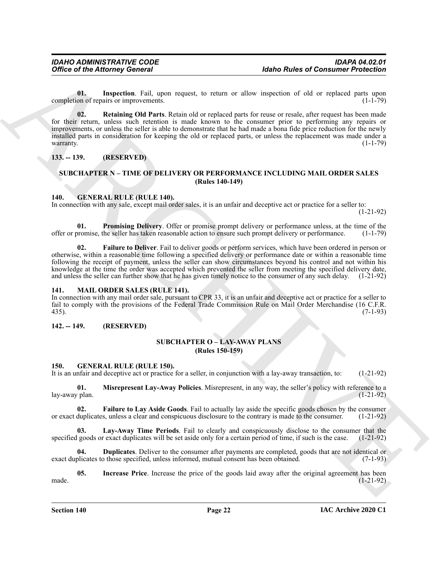<span id="page-21-18"></span><span id="page-21-17"></span>**01. Inspection**. Fail, upon request, to return or allow inspection of old or replaced parts upon completion of repairs or improvements. (1-1-79)

Office of the Attorney General<br>
Universal to space the state of Consumer Presidential<br>
Consumer President Enter the space of the state of the space of the state of the state of the state of the state of the state of the s **02. Retaining Old Parts**. Retain old or replaced parts for reuse or resale, after request has been made for their return, unless such retention is made known to the consumer prior to performing any repairs or improvements, or unless the seller is able to demonstrate that he had made a bona fide price reduction for the newly installed parts in consideration for keeping the old or replaced parts, or unless the replacement was made under a warranty. (1-1-79)

### <span id="page-21-0"></span>**133. -- 139. (RESERVED)**

# <span id="page-21-13"></span><span id="page-21-1"></span>**SUBCHAPTER N – TIME OF DELIVERY OR PERFORMANCE INCLUDING MAIL ORDER SALES (Rules 140-149)**

#### <span id="page-21-2"></span>**140. GENERAL RULE (RULE 140).**

In connection with any sale, except mail order sales, it is an unfair and deceptive act or practice for a seller to:

(1-21-92)

<span id="page-21-15"></span>**01. Promising Delivery**. Offer or promise prompt delivery or performance unless, at the time of the offer or promise, the seller has taken reasonable action to ensure such prompt delivery or performance. (1-1-79)

<span id="page-21-14"></span>**02. Failure to Deliver**. Fail to deliver goods or perform services, which have been ordered in person or otherwise, within a reasonable time following a specified delivery or performance date or within a reasonable time following the receipt of payment, unless the seller can show circumstances beyond his control and not within his knowledge at the time the order was accepted which prevented the seller from meeting the specified delivery date, and unless the seller can further show that he has given timely notice to the consumer of any such delay. (1-21-92)

#### <span id="page-21-16"></span><span id="page-21-3"></span>**141. MAIL ORDER SALES (RULE 141).**

In connection with any mail order sale, pursuant to CPR 33, it is an unfair and deceptive act or practice for a seller to fail to comply with the provisions of the Federal Trade Commission Rule on Mail Order Merchandise (16 C.F.R. 435). 435). (7-1-93)

#### <span id="page-21-5"></span><span id="page-21-4"></span>**142. -- 149. (RESERVED)**

# **SUBCHAPTER O – LAY-AWAY PLANS (Rules 150-159)**

#### <span id="page-21-7"></span><span id="page-21-6"></span>**150. GENERAL RULE (RULE 150).**

It is an unfair and deceptive act or practice for a seller, in conjunction with a lay-away transaction, to: (1-21-92)

<span id="page-21-12"></span>**01. Misrepresent Lay-Away Policies**. Misrepresent, in any way, the seller's policy with reference to a lay-away plan.

<span id="page-21-9"></span>**02. Failure to Lay Aside Goods**. Fail to actually lay aside the specific goods chosen by the consumer duplicates, unless a clear and conspicuous disclosure to the contrary is made to the consumer. (1-21-92) or exact duplicates, unless a clear and conspicuous disclosure to the contrary is made to the consumer.

<span id="page-21-11"></span>**03. Lay-Away Time Periods**. Fail to clearly and conspicuously disclose to the consumer that the specified goods or exact duplicates will be set aside only for a certain period of time, if such is the case. (1-21-92)

<span id="page-21-8"></span>**Duplicates**. Deliver to the consumer after payments are completed, goods that are not identical or those specified, unless informed, mutual consent has been obtained. (7-1-93) exact duplicates to those specified, unless informed, mutual consent has been obtained.

<span id="page-21-10"></span>**05. Increase Price**. Increase the price of the goods laid away after the original agreement has been made. (1-21-92)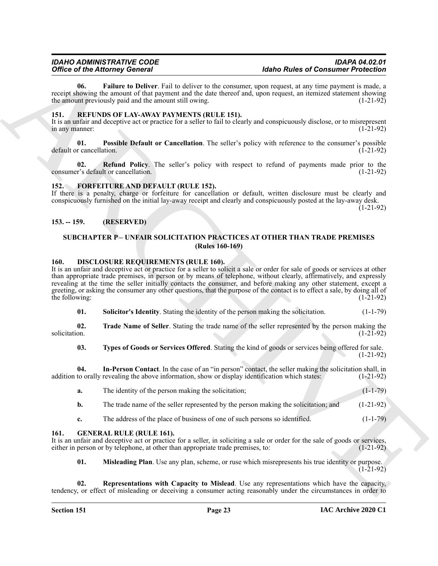<span id="page-22-12"></span>**06. Failure to Deliver**. Fail to deliver to the consumer, upon request, at any time payment is made, a receipt showing the amount of that payment and the date thereof and, upon request, an itemized statement showing the amount previously paid and the amount still owing. (1-21-92)

## <span id="page-22-16"></span><span id="page-22-0"></span>**151. REFUNDS OF LAY-AWAY PAYMENTS (RULE 151).**

It is an unfair and deceptive act or practice for a seller to fail to clearly and conspicuously disclose, or to misrepresent in any manner: (1-21-92) in any manner:

<span id="page-22-17"></span>**01. Possible Default or Cancellation**. The seller's policy with reference to the consumer's possible default or cancellation. (1-21-92)

<span id="page-22-18"></span>**02. Refund Policy**. The seller's policy with respect to refund of payments made prior to the r's default or cancellation. (1-21-92) consumer's default or cancellation.

### <span id="page-22-11"></span><span id="page-22-1"></span>**152. FORFEITURE AND DEFAULT (RULE 152).**

If there is a penalty, charge or forfeiture for cancellation or default, written disclosure must be clearly and conspicuously furnished on the initial lay-away receipt and clearly and conspicuously posted at the lay-away desk. (1-21-92)

# <span id="page-22-2"></span>**153. -- 159. (RESERVED)**

## <span id="page-22-6"></span><span id="page-22-3"></span>**SUBCHAPTER P – UNFAIR SOLICITATION PRACTICES AT OTHER THAN TRADE PREMISES (Rules 160-169)**

#### <span id="page-22-4"></span>**160. DISCLOSURE REQUIREMENTS (RULE 160).**

Office of Historical Deliver, Follow Model is the company applied Public Research in the same of the control of the same of the same of the same of the same of the same of the same of the same of the same of the same of t It is an unfair and deceptive act or practice for a seller to solicit a sale or order for sale of goods or services at other than appropriate trade premises, in person or by means of telephone, without clearly, affirmatively, and expressly revealing at the time the seller initially contacts the consumer, and before making any other statement, except a greeting, or asking the consumer any other questions, that the purpose of the contact is to effect a sale, by doing all of the following:  $(1-21-92)$ 

<span id="page-22-9"></span><span id="page-22-8"></span>**01.** Solicitor's Identity. Stating the identity of the person making the solicitation. (1-1-79)

**02.** Trade Name of Seller. Stating the trade name of the seller represented by the person making the solicitation. (1-21-92) solicitation. (1-21-92)

<span id="page-22-10"></span><span id="page-22-7"></span>**03. Types of Goods or Services Offered**. Stating the kind of goods or services being offered for sale. (1-21-92)

**04.** In-Person Contact. In the case of an "in person" contact, the seller making the solicitation shall, in to orally revealing the above information, show or display identification which states: (1-21-92) addition to orally revealing the above information, show or display identification which states:

| The identity of the person making the solicitation;                                 | $(1-1-79)$  |
|-------------------------------------------------------------------------------------|-------------|
| The trade name of the seller represented by the person making the solicitation; and | $(1-21-92)$ |

<span id="page-22-13"></span>**c.** The address of the place of business of one of such persons so identified. (1-1-79)

#### <span id="page-22-5"></span>**161. GENERAL RULE (RULE 161).**

It is an unfair and deceptive act or practice for a seller, in soliciting a sale or order for the sale of goods or services, either in person or by telephone, at other than appropriate trade premises, to: (1-21-92)

<span id="page-22-15"></span><span id="page-22-14"></span>**01. Misleading Plan**. Use any plan, scheme, or ruse which misrepresents his true identity or purpose. (1-21-92)

**02. Representations with Capacity to Mislead**. Use any representations which have the capacity, tendency, or effect of misleading or deceiving a consumer acting reasonably under the circumstances in order to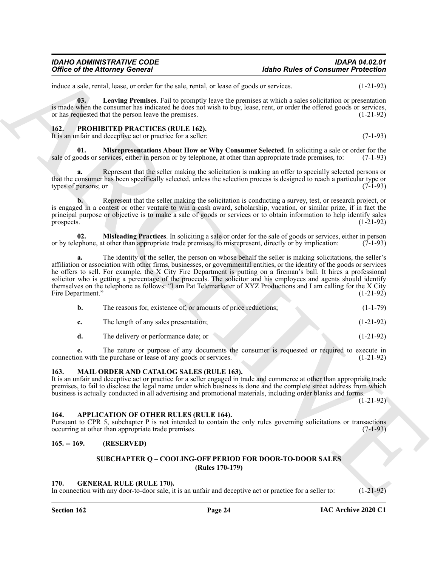# *IDAHO ADMINISTRATIVE CODE IDAPA 04.02.01* **Idaho Rules of Consumer Protection**

induce a sale, rental, lease, or order for the sale, rental, or lease of goods or services. (1-21-92)

<span id="page-23-8"></span>**03. Leaving Premises**. Fail to promptly leave the premises at which a sales solicitation or presentation is made when the consumer has indicated he does not wish to buy, lease, rent, or order the offered goods or services, or has requested that the person leave the premises. (1-21-92)

#### <span id="page-23-10"></span><span id="page-23-0"></span>**162. PROHIBITED PRACTICES (RULE 162).**

<span id="page-23-12"></span>It is an unfair and deceptive act or practice for a seller: (7-1-93)

**Misrepresentations About How or Why Consumer Selected**. In soliciting a sale or order for the ervices, either in person or by telephone, at other than appropriate trade premises, to: (7-1-93) sale of goods or services, either in person or by telephone, at other than appropriate trade premises, to:

**a.** Represent that the seller making the solicitation is making an offer to specially selected persons or that the consumer has been specifically selected, unless the selection process is designed to reach a particular type or types of persons; or (7-1-93)

**b.** Represent that the seller making the solicitation is conducting a survey, test, or research project, or is engaged in a contest or other venture to win a cash award, scholarship, vacation, or similar prize, if in fact the principal purpose or objective is to make a sale of goods or services or to obtain information to help identify sales prospects. (1-21-92)

<span id="page-23-11"></span>**02. Misleading Practices**. In soliciting a sale or order for the sale of goods or services, either in person ephone, at other than appropriate trade premises, to misrepresent, directly or by implication: (7-1-93) or by telephone, at other than appropriate trade premises, to misrepresent, directly or by implication:

Office of the Attorney General<br>
intervention of the sale, realid, or loss of gosts or season.<br>
Intervention of the sale, realid, or loss of gosts or season.<br>
Intervention of the sale control of the sale control of the sal **a.** The identity of the seller, the person on whose behalf the seller is making solicitations, the seller's affiliation or association with other firms, businesses, or governmental entities, or the identity of the goods or services he offers to sell. For example, the X City Fire Department is putting on a fireman's ball. It hires a professional solicitor who is getting a percentage of the proceeds. The solicitor and his employees and agents should identify themselves on the telephone as follows: "I am Pat Telemarketer of XYZ Productions and I am calling for the X City Fire Department." (1-21-92)

| The reasons for, existence of, or amounts of price reductions; | $(1-1-79)$  |
|----------------------------------------------------------------|-------------|
| The length of any sales presentation;                          | $(1-21-92)$ |
| The delivery or performance date; or                           | $(1-21-92)$ |

**e.** The nature or purpose of any documents the consumer is requested or required to execute in connection with the purchase or lease of any goods or services. (1-21-92)

# <span id="page-23-9"></span><span id="page-23-1"></span>**163. MAIL ORDER AND CATALOG SALES (RULE 163).**

It is an unfair and deceptive act or practice for a seller engaged in trade and commerce at other than appropriate trade premises, to fail to disclose the legal name under which business is done and the complete street address from which business is actually conducted in all advertising and promotional materials, including order blanks and forms.

(1-21-92)

#### <span id="page-23-6"></span><span id="page-23-2"></span>**164. APPLICATION OF OTHER RULES (RULE 164).**

Pursuant to CPR 5, subchapter P is not intended to contain the only rules governing solicitations or transactions occurring at other than appropriate trade premises. (7-1-93)

# <span id="page-23-4"></span><span id="page-23-3"></span>**165. -- 169. (RESERVED)**

# **SUBCHAPTER Q – COOLING-OFF PERIOD FOR DOOR-TO-DOOR SALES (Rules 170-179)**

### <span id="page-23-7"></span><span id="page-23-5"></span>**170. GENERAL RULE (RULE 170).**

In connection with any door-to-door sale, it is an unfair and deceptive act or practice for a seller to: (1-21-92)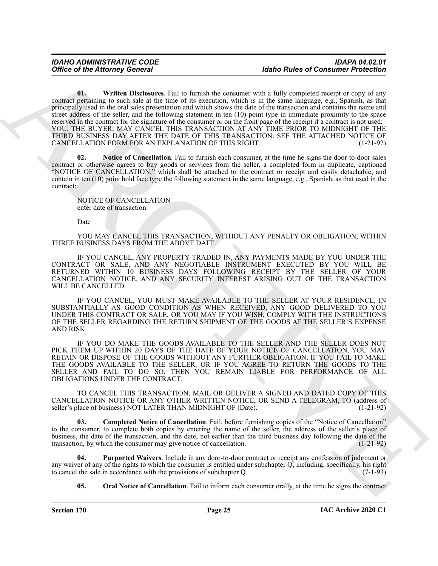Office of the Attorney General<br>
Unite by the Attorney General<br>
Unite by the Attorney General<br>
Unit by the Attorney General<br>
The Spherical Version of the Attachement Field is the measurement of the Attachement of the Attac **01. Written Disclosures**. Fail to furnish the consumer with a fully completed receipt or copy of any contract pertaining to such sale at the time of its execution, which is in the same language, e.g., Spanish, as that principally used in the oral sales presentation and which shows the date of the transaction and contains the name and street address of the seller, and the following statement in ten (10) point type in immediate proximity to the space reserved in the contract for the signature of the consumer or on the front page of the receipt if a contract is not used: YOU, THE BUYER, MAY CANCEL THIS TRANSACTION AT ANY TIME PRIOR TO MIDNIGHT OF THE THIRD BUSINESS DAY AFTER THE DATE OF THIS TRANSACTION. SEE THE ATTACHED NOTICE OF CANCELLATION FORM FOR AN EXPLANATION OF THIS RIGHT. (1-21-92)

<span id="page-24-4"></span><span id="page-24-1"></span>**02. Notice of Cancellation**. Fail to furnish each consumer, at the time he signs the door-to-door sales contract or otherwise agrees to buy goods or services from the seller, a completed form in duplicate, captioned "NOTICE OF CANCELLATION," which shall be attached to the contract or receipt and easily detachable, and contain in ten (10) point bold face type the following statement in the same language, e.g., Spanish, as that used in the contract:

NOTICE OF CANCELLATION enter date of transaction

Date

YOU MAY CANCEL THIS TRANSACTION, WITHOUT ANY PENALTY OR OBLIGATION, WITHIN THREE BUSINESS DAYS FROM THE ABOVE DATE.

IF YOU CANCEL, ANY PROPERTY TRADED IN, ANY PAYMENTS MADE BY YOU UNDER THE CONTRACT OR SALE, AND ANY NEGOTIABLE INSTRUMENT EXECUTED BY YOU WILL BE RETURNED WITHIN 10 BUSINESS DAYS FOLLOWING RECEIPT BY THE SELLER OF YOUR CANCELLATION NOTICE, AND ANY SECURITY INTEREST ARISING OUT OF THE TRANSACTION WILL BE CANCELLED.

IF YOU CANCEL, YOU MUST MAKE AVAILABLE TO THE SELLER AT YOUR RESIDENCE, IN SUBSTANTIALLY AS GOOD CONDITION AS WHEN RECEIVED, ANY GOOD DELIVERED TO YOU UNDER THIS CONTRACT OR SALE; OR YOU MAY IF YOU WISH, COMPLY WITH THE INSTRUCTIONS OF THE SELLER REGARDING THE RETURN SHIPMENT OF THE GOODS AT THE SELLER'S EXPENSE AND RISK.

IF YOU DO MAKE THE GOODS AVAILABLE TO THE SELLER AND THE SELLER DOES NOT PICK THEM UP WITHIN 20 DAYS OF THE DATE OF YOUR NOTICE OF CANCELLATION, YOU MAY RETAIN OR DISPOSE OF THE GOODS WITHOUT ANY FURTHER OBLIGATION. IF YOU FAIL TO MAKE THE GOODS AVAILABLE TO THE SELLER, OR IF YOU AGREE TO RETURN THE GOODS TO THE SELLER AND FAIL TO DO SO, THEN YOU REMAIN LIABLE FOR PERFORMANCE OF ALL OBLIGATIONS UNDER THE CONTRACT.

TO CANCEL THIS TRANSACTION, MAIL OR DELIVER A SIGNED AND DATED COPY OF THIS CANCELLATION NOTICE OR ANY OTHER WRITTEN NOTICE, OR SEND A TELEGRAM, TO (address of seller's place of business) NOT LATER THAN MIDNIGHT OF (Date). (1-21-92) seller's place of business) NOT LATER THAN MIDNIGHT OF (Date).

<span id="page-24-0"></span>**03. Completed Notice of Cancellation**. Fail, before furnishing copies of the "Notice of Cancellation" to the consumer, to complete both copies by entering the name of the seller, the address of the seller's place of business, the date of the transaction, and the date, not earlier than the third business day following the date of the transaction, by which the consumer may give notice of cancellation. (1-21-92)

**04. Purported Waivers**. Include in any door-to-door contract or receipt any confession of judgment or any waiver of any of the rights to which the consumer is entitled under subchapter  $Q$ , including, specifically, his right to cancel the sale in accordance with the provisions of subchapter  $Q$ . (7-1-93) to cancel the sale in accordance with the provisions of subchapter Q.

<span id="page-24-3"></span><span id="page-24-2"></span>**05.** Oral Notice of Cancellation. Fail to inform each consumer orally, at the time he signs the contract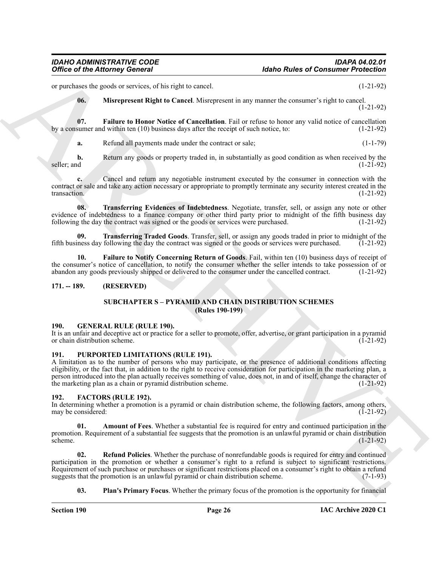or purchases the goods or services, of his right to cancel. (1-21-92)

<span id="page-25-11"></span><span id="page-25-9"></span>**06. Misrepresent Right to Cancel**. Misrepresent in any manner the consumer's right to cancel. (1-21-92)

**07. Failure to Honor Notice of Cancellation**. Fail or refuse to honor any valid notice of cancellation sumer and within ten (10) business days after the receipt of such notice, to: (1-21-92) by a consumer and within ten  $(10)$  business days after the receipt of such notice, to:

**a.** Refund all payments made under the contract or sale; (1-1-79)

**b.** Return any goods or property traded in, in substantially as good condition as when received by the  $s$ eller; and  $(1-21-92)$ 

**c.** Cancel and return any negotiable instrument executed by the consumer in connection with the contract or sale and take any action necessary or appropriate to promptly terminate any security interest created in the transaction. (1-21-92)

<span id="page-25-12"></span>**08. Transferring Evidences of Indebtedness**. Negotiate, transfer, sell, or assign any note or other evidence of indebtedness to a finance company or other third party prior to midnight of the fifth business day following the day the contract was signed or the goods or services were purchased.  $(1-21-92)$ 

<span id="page-25-13"></span>**09. Transferring Traded Goods**. Transfer, sell, or assign any goods traded in prior to midnight of the ness day following the day the contract was signed or the goods or services were purchased. (1-21-92) fifth business day following the day the contract was signed or the goods or services were purchased.

**10. Failure to Notify Concerning Return of Goods**. Fail, within ten (10) business days of receipt of the consumer's notice of cancellation, to notify the consumer whether the seller intends to take possession of or abandon any goods previously shipped or delivered to the consumer under the cancelled contract. (1-21-92)

# <span id="page-25-1"></span><span id="page-25-0"></span>**171. -- 189. (RESERVED)**

# <span id="page-25-10"></span>**SUBCHAPTER S – PYRAMID AND CHAIN DISTRIBUTION SCHEMES (Rules 190-199)**

#### <span id="page-25-14"></span><span id="page-25-2"></span>**190. GENERAL RULE (RULE 190).**

It is an unfair and deceptive act or practice for a seller to promote, offer, advertise, or grant participation in a pyramid or chain distribution scheme. (1-21-92)

# <span id="page-25-15"></span><span id="page-25-3"></span>**191. PURPORTED LIMITATIONS (RULE 191).**

Office of the Attorney General<br>
at mustake procedure and the extent of the state to construct the any means the assessment of the C1-212<br>
The Simon Constraint Equivariant Scheme and the extent of the state of the state of A limitation as to the number of persons who may participate, or the presence of additional conditions affecting eligibility, or the fact that, in addition to the right to receive consideration for participation in the marketing plan, a person introduced into the plan actually receives something of value, does not, in and of itself, change the character of the marketing plan as a chain or pyramid distribution scheme. (1-21-92)

#### <span id="page-25-5"></span><span id="page-25-4"></span>**192. FACTORS (RULE 192).**

In determining whether a promotion is a pyramid or chain distribution scheme, the following factors, among others, may be considered: (1-21-92) may be considered:

<span id="page-25-6"></span>**01. Amount of Fees**. Whether a substantial fee is required for entry and continued participation in the promotion. Requirement of a substantial fee suggests that the promotion is an unlawful pyramid or chain distribution scheme.  $s$ cheme.  $(1-21-92)$ 

**02. Refund Policies**. Whether the purchase of nonrefundable goods is required for entry and continued participation in the promotion or whether a consumer's right to a refund is subject to significant restrictions. Requirement of such purchase or purchases or significant restrictions placed on a consumer's right to obtain a refund suggests that the promotion is an unlawful pyramid or chain distribution scheme. (7-1-93)

<span id="page-25-8"></span><span id="page-25-7"></span>**03. Plan's Primary Focus**. Whether the primary focus of the promotion is the opportunity for financial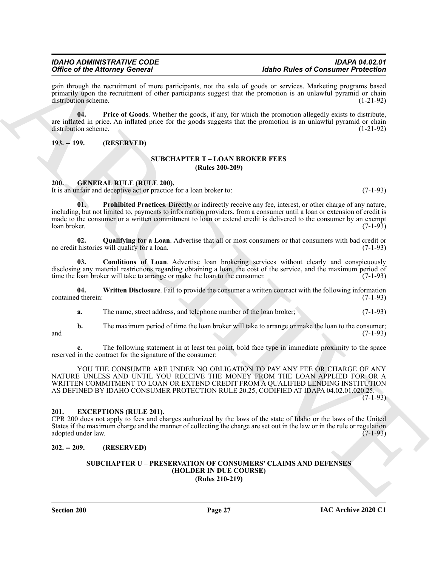# *Office of the Attorney General*

gain through the recruitment of more participants, not the sale of goods or services. Marketing programs based primarily upon the recruitment of other participants suggest that the promotion is an unlawful pyramid or chain distribution scheme. (1-21-92)

<span id="page-26-7"></span>**04. Price of Goods**. Whether the goods, if any, for which the promotion allegedly exists to distribute, are inflated in price. An inflated price for the goods suggests that the promotion is an unlawful pyramid or chain distribution scheme. (1-21-92) distribution scheme.

# <span id="page-26-1"></span><span id="page-26-0"></span>**193. -- 199. (RESERVED)**

## **SUBCHAPTER T – LOAN BROKER FEES (Rules 200-209)**

### <span id="page-26-8"></span><span id="page-26-2"></span>**200. GENERAL RULE (RULE 200).**

It is an unfair and deceptive act or practice for a loan broker to: (7-1-93)

<span id="page-26-10"></span>**01. Prohibited Practices**. Directly or indirectly receive any fee, interest, or other charge of any nature, including, but not limited to, payments to information providers, from a consumer until a loan or extension of credit is made to the consumer or a written commitment to loan or extend credit is delivered to the consumer by an exempt loan broker. (7-1-93)

<span id="page-26-11"></span>**02.** Qualifying for a Loan. Advertise that all or most consumers or that consumers with bad credit or histories will qualify for a loan. (7-1-93) no credit histories will qualify for a loan.

<span id="page-26-9"></span>**03. Conditions of Loan**. Advertise loan brokering services without clearly and conspicuously disclosing any material restrictions regarding obtaining a loan, the cost of the service, and the maximum period of time the loan broker will take to arrange or make the loan to the consumer. (7-1-93)

**04. Written Disclosure**. Fail to provide the consumer a written contract with the following information contained therein: (7-1-93)

<span id="page-26-12"></span>**a.** The name, street address, and telephone number of the loan broker; (7-1-93)

**b.** The maximum period of time the loan broker will take to arrange or make the loan to the consumer; and  $(7-1-93)$ 

**c.** The following statement in at least ten point, bold face type in immediate proximity to the space reserved in the contract for the signature of the consumer:

Office of the Altionary Defence of the probability and the shell of the Real Photo Richard President in the spin of the state of the spin of the spin of the spin of the spin of the spin of the spin of the spin of the spin YOU THE CONSUMER ARE UNDER NO OBLIGATION TO PAY ANY FEE OR CHARGE OF ANY NATURE UNLESS AND UNTIL YOU RECEIVE THE MONEY FROM THE LOAN APPLIED FOR OR A WRITTEN COMMITMENT TO LOAN OR EXTEND CREDIT FROM A QUALIFIED LENDING INSTITUTION AS DEFINED BY IDAHO CONSUMER PROTECTION RULE 20.25, CODIFIED AT IDAPA 04.02.01.020.25.

(7-1-93)

# <span id="page-26-6"></span><span id="page-26-3"></span>**201. EXCEPTIONS (RULE 201).**

CPR 200 does not apply to fees and charges authorized by the laws of the state of Idaho or the laws of the United States if the maximum charge and the manner of collecting the charge are set out in the law or in the rule or regulation adopted under law. (7-1-93)

# <span id="page-26-5"></span><span id="page-26-4"></span>**202. -- 209. (RESERVED)**

#### **SUBCHAPTER U – PRESERVATION OF CONSUMERS' CLAIMS AND DEFENSES (HOLDER IN DUE COURSE) (Rules 210-219)**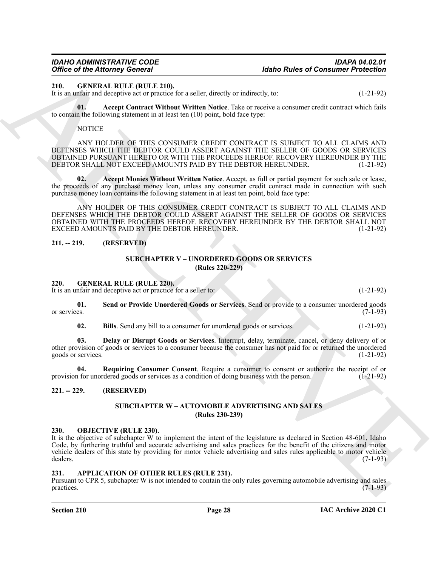#### <span id="page-27-9"></span><span id="page-27-0"></span>**210. GENERAL RULE (RULE 210).**

It is an unfair and deceptive act or practice for a seller, directly or indirectly, to: (1-21-92)

**01. Accept Contract Without Written Notice**. Take or receive a consumer credit contract which fails to contain the following statement in at least ten (10) point, bold face type:

<span id="page-27-11"></span><span id="page-27-10"></span>**NOTICE** 

ANY HOLDER OF THIS CONSUMER CREDIT CONTRACT IS SUBJECT TO ALL CLAIMS AND DEFENSES WHICH THE DEBTOR COULD ASSERT AGAINST THE SELLER OF GOODS OR SERVICES OBTAINED PURSUANT HERETO OR WITH THE PROCEEDS HEREOF. RECOVERY HEREUNDER BY THE DEBTOR SHALL NOT EXCEED AMOUNTS PAID BY THE DEBTOR HEREUNDER. (1-21-92)

**02. Accept Monies Without Written Notice**. Accept, as full or partial payment for such sale or lease, the proceeds of any purchase money loan, unless any consumer credit contract made in connection with such purchase money loan contains the following statement in at least ten point, bold face type:

ARCHIVE ANY HOLDER OF THIS CONSUMER CREDIT CONTRACT IS SUBJECT TO ALL CLAIMS AND DEFENSES WHICH THE DEBTOR COULD ASSERT AGAINST THE SELLER OF GOODS OR SERVICES OBTAINED WITH THE PROCEEDS HEREOF. RECOVERY HEREUNDER BY THE DEBTOR SHALL NOT EXCEED AMOUNTS PAID BY THE DEBTOR HEREUNDER. (1-21-92)

# <span id="page-27-2"></span><span id="page-27-1"></span>**211. -- 219. (RESERVED)**

# **SUBCHAPTER V – UNORDERED GOODS OR SERVICES (Rules 220-229)**

<span id="page-27-12"></span><span id="page-27-3"></span>**220. GENERAL RULE (RULE 220).**

It is an unfair and deceptive act or practice for a seller to: (1-21-92)

**01. Send or Provide Unordered Goods or Services**. Send or provide to a consumer unordered goods or services. (7-1-93) or services. (7-1-93)

<span id="page-27-16"></span><span id="page-27-14"></span><span id="page-27-13"></span>**02. Bills**. Send any bill to a consumer for unordered goods or services. (1-21-92)

**03. Delay or Disrupt Goods or Services**. Interrupt, delay, terminate, cancel, or deny delivery of or other provision of goods or services to a consumer because the consumer has not paid for or returned the unordered goods or services. (1-21-92)

**04.** Requiring Consumer Consent. Require a consumer to consent or authorize the receipt of or 1 for unordered goods or services as a condition of doing business with the person. (1-21-92) provision for unordered goods or services as a condition of doing business with the person.

# <span id="page-27-5"></span><span id="page-27-4"></span>**221. -- 229. (RESERVED)**

### <span id="page-27-15"></span>**SUBCHAPTER W – AUTOMOBILE ADVERTISING AND SALES (Rules 230-239)**

# <span id="page-27-17"></span><span id="page-27-6"></span>**230. OBJECTIVE (RULE 230).**

It is the objective of subchapter W to implement the intent of the legislature as declared in Section 48-601, Idaho Code, by furthering truthful and accurate advertising and sales practices for the benefit of the citizens and motor vehicle dealers of this state by providing for motor vehicle advertising and sales rules applicable to motor vehicle dealers. (7-1-93) dealers. (7-1-93)

# <span id="page-27-8"></span><span id="page-27-7"></span>**231. APPLICATION OF OTHER RULES (RULE 231).**

Pursuant to CPR 5, subchapter W is not intended to contain the only rules governing automobile advertising and sales practices.  $(7-1-93)$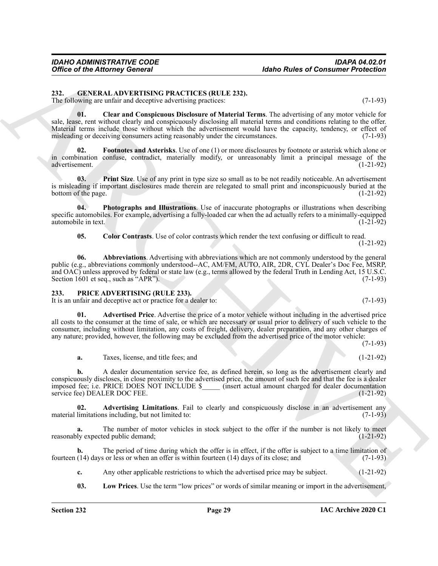<span id="page-28-9"></span><span id="page-28-0"></span>**232. GENERAL ADVERTISING PRACTICES (RULE 232).**

The following are unfair and deceptive advertising practices: (7-1-93)

<span id="page-28-10"></span>**01. Clear and Conspicuous Disclosure of Material Terms**. The advertising of any motor vehicle for sale, lease, rent without clearly and conspicuously disclosing all material terms and conditions relating to the offer. Material terms include those without which the advertisement would have the capacity, tendency, or effect of misleading or deceiving consumers acting reasonably under the circumstances. (7-1-93)

<span id="page-28-6"></span>**02. Footnotes and Asterisks**. Use of one (1) or more disclosures by footnote or asterisk which alone or in combination confuse, contradict, materially modify, or unreasonably limit a principal message of the advertisement. (1-21-92)

<span id="page-28-8"></span>**03. Print Size**. Use of any print in type size so small as to be not readily noticeable. An advertisement is misleading if important disclosures made therein are relegated to small print and inconspicuously buried at the bottom of the page. (1-21-92)

**04. Photographs and Illustrations**. Use of inaccurate photographs or illustrations when describing specific automobiles. For example, advertising a fully-loaded car when the ad actually refers to a minimally-equipped automobile in text. (1-21-92)

<span id="page-28-7"></span><span id="page-28-5"></span><span id="page-28-4"></span>**05. Color Contrasts**. Use of color contrasts which render the text confusing or difficult to read. (1-21-92)

Office of the Attorney General<br>
232. GEREIALN DERIX (FIRENCILLES QUILLE 233).<br>
The following are maintained above the state of the state of the state of the state of the state of the state of the state of the state of the **06. Abbreviations**. Advertising with abbreviations which are not commonly understood by the general public (e.g., abbreviations commonly understood--AC, AM/FM, AUTO, AIR, 2DR, CYL Dealer's Doc Fee, MSRP, and OAC) unless approved by federal or state law (e.g., terms allowed by the federal Truth in Lending Act, 15 U.S.C. Section 1601 et seq., such as "APR").  $(7-1-93)$ 

# <span id="page-28-11"></span><span id="page-28-1"></span>**233. PRICE ADVERTISING (RULE 233).**

It is an unfair and deceptive act or practice for a dealer to: (7-1-93)

<span id="page-28-12"></span>**01. Advertised Price**. Advertise the price of a motor vehicle without including in the advertised price all costs to the consumer at the time of sale, or which are necessary or usual prior to delivery of such vehicle to the consumer, including without limitation, any costs of freight, delivery, dealer preparation, and any other charges of any nature; provided, however, the following may be excluded from the advertised price of the motor vehicle:

(7-1-93)

<span id="page-28-2"></span>**a.** Taxes, license, and title fees; and (1-21-92)

**b.** A dealer documentation service fee, as defined herein, so long as the advertisement clearly and conspicuously discloses, in close proximity to the advertised price, the amount of such fee and that the fee is a dealer imposed fee; i.e. PRICE DOES NOT INCLUDE \$\_\_\_\_\_ (insert actual amount charged for dealer documentation service fee) DEALER DOC FEE. (1-21-92)

**02. Advertising Limitations**. Fail to clearly and conspicuously disclose in an advertisement any material limitations including, but not limited to:  $(7-1-93)$ 

The number of motor vehicles in stock subject to the offer if the number is not likely to meet ted public demand; (1-21-92) reasonably expected public demand;

**b.** The period of time during which the offer is in effect, if the offer is subject to a time limitation of fourteen (14) days or less or when an offer is within fourteen (14) days of its close; and (7-1-93)

**c.** Any other applicable restrictions to which the advertised price may be subject. (1-21-92)

<span id="page-28-3"></span>**03. Low Prices**. Use the term "low prices" or words of similar meaning or import in the advertisement,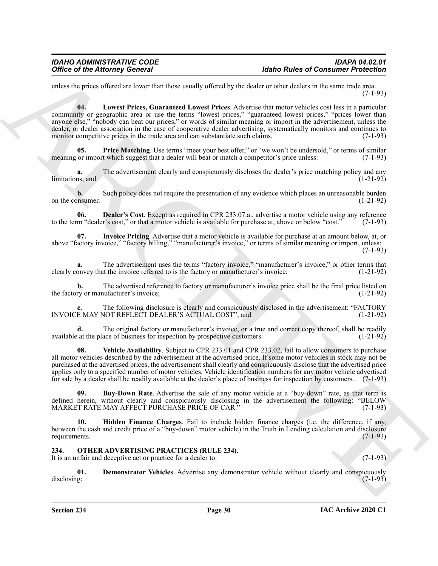unless the prices offered are lower than those usually offered by the dealer or other dealers in the same trade area. (7-1-93)

<span id="page-29-5"></span>**04. Lowest Prices, Guaranteed Lowest Prices**. Advertise that motor vehicles cost less in a particular community or geographic area or use the terms "lowest prices," "guaranteed lowest prices," "prices lower than anyone else," "nobody can beat our prices," or words of similar meaning or import in the advertisement, unless the dealer, or dealer association in the case of cooperative dealer advertising, systematically monitors and continues to monitor competitive prices in the trade area and can substantiate such claims. (7-1-93)

<span id="page-29-6"></span>**Price Matching**. Use terms "meet your best offer," or "we won't be undersold," or terms of similar meaning or import which suggest that a dealer will beat or match a competitor's price unless: (7-1-93)

**a.** The advertisement clearly and conspicuously discloses the dealer's price matching policy and any  $\text{limitations; and} \tag{1-21-92}$ 

**b.** Such policy does not require the presentation of any evidence which places an unreasonable burden on sumer. (1-21-92) on the consumer.

<span id="page-29-2"></span>**06. Dealer's Cost**. Except as required in CPR 233.07.a., advertise a motor vehicle using any reference to the term "dealer's cost," or that a motor vehicle is available for purchase at, above or below "cost." (7-1-93)

<span id="page-29-4"></span>**07. Invoice Pricing**. Advertise that a motor vehicle is available for purchase at an amount below, at, or above "factory invoice," "factory billing," "manufacturer's invoice," or terms of similar meaning or import, unless:

**a.** The advertisement uses the terms "factory invoice," "manufacturer's invoice," or other terms that clearly convey that the invoice referred to is the factory or manufacturer's invoice; (1-21-92)

**b.** The advertised reference to factory or manufacturer's invoice price shall be the final price listed on the factory or manufacturer's invoice; (1-21-92)

**c.** The following disclosure is clearly and conspicuously disclosed in the advertisement: "FACTORY INVOICE MAY NOT REFLECT DEALER'S ACTUAL COST"; and (1-21-92)

<span id="page-29-7"></span>**d.** The original factory or manufacturer's invoice, or a true and correct copy thereof, shall be readily available at the place of business for inspection by prospective customers. (1-21-92)

Office of the Attorney General<br>
and the Theorem is a therma based of the Scholar order of the Scholar order of the Scholar order and the Scholar order of the Scholar order of the Scholar order of the Scholar order of the **08. Vehicle Availability**. Subject to CPR 233.01 and CPR 233.02, fail to allow consumers to purchase all motor vehicles described by the advertisement at the advertised price. If some motor vehicles in stock may not be purchased at the advertised prices, the advertisement shall clearly and conspicuously disclose that the advertised price applies only to a specified number of motor vehicles. Vehicle identification numbers for any motor vehicle advertised for sale by a dealer shall be readily available at the dealer's place of business for inspection by customers. (7-1-93)

<span id="page-29-1"></span>**09. Buy-Down Rate**. Advertise the sale of any motor vehicle at a "buy-down" rate, as that term is defined herein, without clearly and conspicuously disclosing in the advertisement the following: "BELOW MARKET RATE MAY AFFECT PURCHASE PRICE OF CAR." (7-1-93) MARKET RATE MAY AFFECT PURCHASE PRICE OF CAR.'

<span id="page-29-3"></span>**10. Hidden Finance Charges**. Fail to include hidden finance charges (i.e. the difference, if any, between the cash and credit price of a "buy-down" motor vehicle) in the Truth in Lending calculation and disclosure requirements.

# <span id="page-29-8"></span><span id="page-29-0"></span>**234. OTHER ADVERTISING PRACTICES (RULE 234).**

It is an unfair and deceptive act or practice for a dealer to: (7-1-93)

<span id="page-29-9"></span>**01. Demonstrator Vehicles**. Advertise any demonstrator vehicle without clearly and conspicuously disclosing: (7-1-93) disclosing: (7-1-93)

 $(7-1-93)$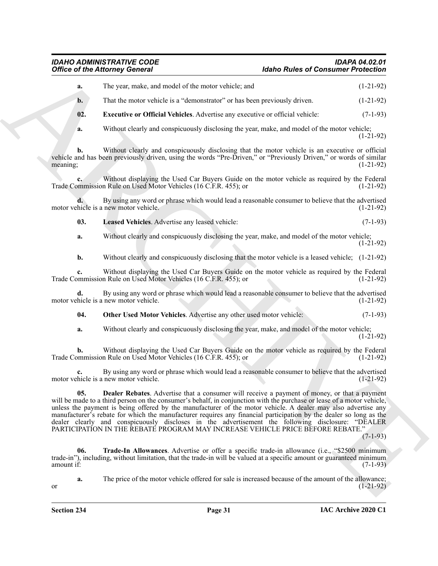# <span id="page-30-4"></span><span id="page-30-3"></span><span id="page-30-2"></span><span id="page-30-1"></span><span id="page-30-0"></span>*IDAHO ADMINISTRATIVE CODE IDAPA 04.02.01*

# **Idaho Rules of Consumer Protection**

| <b>Office of the Attorney General</b> |                                                                                                                                                                                                                                                                                                                                                                                                                                                                                                                                                                                                                                                             | <b>Idaho Rules of Consumer Protection</b> |             |
|---------------------------------------|-------------------------------------------------------------------------------------------------------------------------------------------------------------------------------------------------------------------------------------------------------------------------------------------------------------------------------------------------------------------------------------------------------------------------------------------------------------------------------------------------------------------------------------------------------------------------------------------------------------------------------------------------------------|-------------------------------------------|-------------|
| a.                                    | The year, make, and model of the motor vehicle; and                                                                                                                                                                                                                                                                                                                                                                                                                                                                                                                                                                                                         |                                           | $(1-21-92)$ |
| b.                                    | That the motor vehicle is a "demonstrator" or has been previously driven.                                                                                                                                                                                                                                                                                                                                                                                                                                                                                                                                                                                   |                                           | $(1-21-92)$ |
| 02.                                   | Executive or Official Vehicles. Advertise any executive or official vehicle:                                                                                                                                                                                                                                                                                                                                                                                                                                                                                                                                                                                |                                           | $(7-1-93)$  |
| a.                                    | Without clearly and conspicuously disclosing the year, make, and model of the motor vehicle;                                                                                                                                                                                                                                                                                                                                                                                                                                                                                                                                                                |                                           | $(1-21-92)$ |
| b.<br>meaning;                        | Without clearly and conspicuously disclosing that the motor vehicle is an executive or official<br>vehicle and has been previously driven, using the words "Pre-Driven," or "Previously Driven," or words of similar                                                                                                                                                                                                                                                                                                                                                                                                                                        |                                           | $(1-21-92)$ |
|                                       | Without displaying the Used Car Buyers Guide on the motor vehicle as required by the Federal<br>Trade Commission Rule on Used Motor Vehicles (16 C.F.R. 455); or                                                                                                                                                                                                                                                                                                                                                                                                                                                                                            |                                           | $(1-21-92)$ |
|                                       | By using any word or phrase which would lead a reasonable consumer to believe that the advertised<br>motor vehicle is a new motor vehicle.                                                                                                                                                                                                                                                                                                                                                                                                                                                                                                                  |                                           | $(1-21-92)$ |
| 03.                                   | Leased Vehicles. Advertise any leased vehicle:                                                                                                                                                                                                                                                                                                                                                                                                                                                                                                                                                                                                              |                                           | $(7-1-93)$  |
| a.                                    | Without clearly and conspicuously disclosing the year, make, and model of the motor vehicle;                                                                                                                                                                                                                                                                                                                                                                                                                                                                                                                                                                |                                           | $(1-21-92)$ |
| b.                                    | Without clearly and conspicuously disclosing that the motor vehicle is a leased vehicle; (1-21-92)                                                                                                                                                                                                                                                                                                                                                                                                                                                                                                                                                          |                                           |             |
| c.                                    | Without displaying the Used Car Buyers Guide on the motor vehicle as required by the Federal<br>Trade Commission Rule on Used Motor Vehicles (16 C.F.R. 455); or                                                                                                                                                                                                                                                                                                                                                                                                                                                                                            |                                           | $(1-21-92)$ |
|                                       | By using any word or phrase which would lead a reasonable consumer to believe that the advertised<br>motor vehicle is a new motor vehicle.                                                                                                                                                                                                                                                                                                                                                                                                                                                                                                                  |                                           | $(1-21-92)$ |
| 04.                                   | Other Used Motor Vehicles. Advertise any other used motor vehicle:                                                                                                                                                                                                                                                                                                                                                                                                                                                                                                                                                                                          |                                           | $(7-1-93)$  |
| a.                                    | Without clearly and conspicuously disclosing the year, make, and model of the motor vehicle;                                                                                                                                                                                                                                                                                                                                                                                                                                                                                                                                                                |                                           | $(1-21-92)$ |
| b.                                    | Without displaying the Used Car Buyers Guide on the motor vehicle as required by the Federal<br>Trade Commission Rule on Used Motor Vehicles (16 C.F.R. 455); or                                                                                                                                                                                                                                                                                                                                                                                                                                                                                            |                                           | $(1-21-92)$ |
|                                       | By using any word or phrase which would lead a reasonable consumer to believe that the advertised<br>motor vehicle is a new motor vehicle.                                                                                                                                                                                                                                                                                                                                                                                                                                                                                                                  |                                           | $(1-21-92)$ |
| 05.                                   | <b>Dealer Rebates.</b> Advertise that a consumer will receive a payment of money, or that a payment<br>will be made to a third person on the consumer's behalf, in conjunction with the purchase or lease of a motor vehicle,<br>unless the payment is being offered by the manufacturer of the motor vehicle. A dealer may also advertise any<br>manufacturer's rebate for which the manufacturer requires any financial participation by the dealer so long as the<br>dealer clearly and conspicuously discloses in the advertisement the following disclosure: "DEALER<br>PARTICIPATION IN THE REBATE PROGRAM MAY INCREASE VEHICLE PRICE BEFORE REBATE." |                                           | $(7-1-93)$  |
| 06.<br>amount if:                     | Trade-In Allowances. Advertise or offer a specific trade-in allowance (i.e., "\$2500 minimum<br>trade-in"), including, without limitation, that the trade-in will be valued at a specific amount or guaranteed minimum                                                                                                                                                                                                                                                                                                                                                                                                                                      |                                           | $(7-1-93)$  |
|                                       | The price of the motor vehicle offered for sale is increased because of the amount of the allowance;                                                                                                                                                                                                                                                                                                                                                                                                                                                                                                                                                        |                                           |             |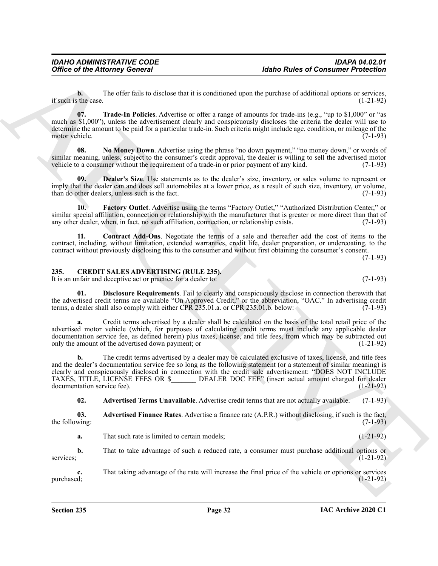**b.** The offer fails to disclose that it is conditioned upon the purchase of additional options or services, the case. (1-21-92) if such is the case.

<span id="page-31-9"></span>**07. Trade-In Policies**. Advertise or offer a range of amounts for trade-ins (e.g., "up to \$1,000" or "as much as \$1,000"), unless the advertisement clearly and conspicuously discloses the criteria the dealer will use to determine the amount to be paid for a particular trade-in. Such criteria might include age, condition, or mileage of the motor vehicle. (7-1-93)

<span id="page-31-8"></span>**08. No Money Down**. Advertise using the phrase "no down payment," "no money down," or words of similar meaning, unless, subject to the consumer's credit approval, the dealer is willing to sell the advertised motor vehicle to a consumer without the requirement of a trade-in or prior payment of any kind. (7-1-93)

<span id="page-31-6"></span>**Dealer's Size.** Use statements as to the dealer's size, inventory, or sales volume to represent or imply that the dealer can and does sell automobiles at a lower price, as a result of such size, inventory, or volume, than do other dealers, unless such is the fact. (7-1-93) than do other dealers, unless such is the fact.

<span id="page-31-7"></span>**10. Factory Outlet**. Advertise using the terms "Factory Outlet," "Authorized Distribution Center," or similar special affiliation, connection or relationship with the manufacturer that is greater or more direct than that of any other dealer, when, in fact, no such affiliation, connection, or relationship exists. (7-1-93)

<span id="page-31-5"></span>**11. Contract Add-Ons**. Negotiate the terms of a sale and thereafter add the cost of items to the contract, including, without limitation, extended warranties, credit life, dealer preparation, or undercoating, to the contract without previously disclosing this to the consumer and without first obtaining the consumer's consent.

(7-1-93)

# <span id="page-31-1"></span><span id="page-31-0"></span>**235. CREDIT SALES ADVERTISING (RULE 235).**

<span id="page-31-4"></span>It is an unfair and deceptive act or practice for a dealer to: (7-1-93)

**01. Disclosure Requirements**. Fail to clearly and conspicuously disclose in connection therewith that the advertised credit terms are available "On Approved Credit," or the abbreviation, "OAC." In advertising credit terms, a dealer shall also comply with either CPR 235.01.a. or CPR 235.01.b. below:  $(7-1-93)$ 

**a.** Credit terms advertised by a dealer shall be calculated on the basis of the total retail price of the advertised motor vehicle (which, for purposes of calculating credit terms must include any applicable dealer documentation service fee, as defined herein) plus taxes, license, and title fees, from which may be subtracted out only the amount of the advertised down payment; or (1-21-92)

Office of the Altomasy General<br>
The United States and Constant of the China states and Constant of the China States and Constant of the China States and China States and China States and China States and China States and **b.** The credit terms advertised by a dealer may be calculated exclusive of taxes, license, and title fees and the dealer's documentation service fee so long as the following statement (or a statement of similar meaning) is clearly and conspicuously disclosed in connection with the credit sale advertisement: "DOES NOT INCLUDE TAXES, TITLE, LICENSE FEES OR \$\_\_\_\_\_\_\_ DEALER DOC FEE" (insert actual amount charged for dealer documentation service fee). (1-21-92)

<span id="page-31-3"></span><span id="page-31-2"></span>**02. Advertised Terms Unavailable**. Advertise credit terms that are not actually available. (7-1-93)

**03. Advertised Finance Rates**. Advertise a finance rate (A.P.R.) without disclosing, if such is the fact, the following:  $(7-1-93)$ 

**a.** That such rate is limited to certain models; (1-21-92)

**b.** That to take advantage of such a reduced rate, a consumer must purchase additional options or services;  $(1-21-92)$ 

**c.** That taking advantage of the rate will increase the final price of the vehicle or options or services purchased; purchased; (1-21-92)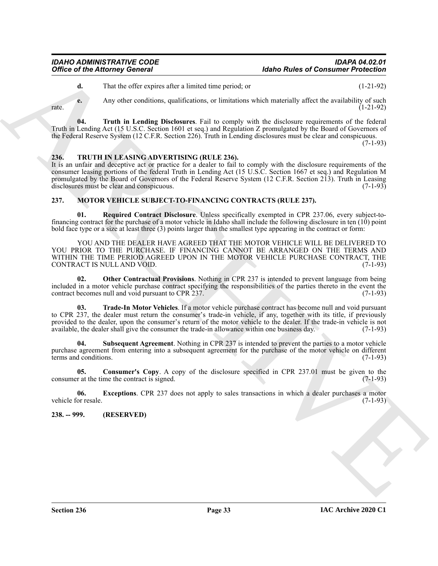<span id="page-32-3"></span>**d.** That the offer expires after a limited time period; or (1-21-92)

**e.** Any other conditions, qualifications, or limitations which materially affect the availability of such  $r = (1-21-92)$ 

**04. Truth in Lending Disclosures**. Fail to comply with the disclosure requirements of the federal Truth in Lending Act (15 U.S.C. Section 1601 et seq.) and Regulation Z promulgated by the Board of Governors of the Federal Reserve System (12 C.F.R. Section 226). Truth in Lending disclosures must be clear and conspicuous.

 $(7-1-93)$ 

# <span id="page-32-11"></span><span id="page-32-0"></span>**236. TRUTH IN LEASING ADVERTISING (RULE 236).**

It is an unfair and deceptive act or practice for a dealer to fail to comply with the disclosure requirements of the consumer leasing portions of the federal Truth in Lending Act (15 U.S.C. Section 1667 et seq.) and Regulation M promulgated by the Board of Governors of the Federal Reserve System (12 C.F.R. Section 213). Truth in Leasing disclosures must be clear and conspicuous. (7-1-93)

# <span id="page-32-4"></span><span id="page-32-1"></span>**237. MOTOR VEHICLE SUBJECT-TO-FINANCING CONTRACTS (RULE 237).**

<span id="page-32-8"></span>**01. Required Contract Disclosure**. Unless specifically exempted in CPR 237.06, every subject-tofinancing contract for the purchase of a motor vehicle in Idaho shall include the following disclosure in ten (10) point bold face type or a size at least three (3) points larger than the smallest type appearing in the contract or form:

**Office of the Altowney General**<br> **Adabe Altowney General**<br> **ARCHIVES** (Archives such a final delarge period or<br>
ARCHIVES and the substitute of the ALTON ARCHIVES and the such a final delay of the such a final delay of th YOU AND THE DEALER HAVE AGREED THAT THE MOTOR VEHICLE WILL BE DELIVERED TO YOU PRIOR TO THE PURCHASE. IF FINANCING CANNOT BE ARRANGED ON THE TERMS AND WITHIN THE TIME PERIOD AGREED UPON IN THE MOTOR VEHICLE PURCHASE CONTRACT, THE CONTRACT IS NULL AND VOID. (7-1-93)

<span id="page-32-7"></span>**02. Other Contractual Provisions**. Nothing in CPR 237 is intended to prevent language from being included in a motor vehicle purchase contract specifying the responsibilities of the parties thereto in the event the contract becomes null and void pursuant to CPR 237. (7-1-93)

<span id="page-32-10"></span>**03. Trade-In Motor Vehicles**. If a motor vehicle purchase contract has become null and void pursuant to CPR 237, the dealer must return the consumer's trade-in vehicle, if any, together with its title, if previously provided to the dealer, upon the consumer's return of the motor vehicle to the dealer. If the trade-in vehicle is not available, the dealer shall give the consumer the trade-in allowance within one business day. (7-1-93) available, the dealer shall give the consumer the trade-in allowance within one business day.

<span id="page-32-9"></span>**04. Subsequent Agreement**. Nothing in CPR 237 is intended to prevent the parties to a motor vehicle purchase agreement from entering into a subsequent agreement for the purchase of the motor vehicle on different terms and conditions. (7-1-93)

<span id="page-32-5"></span>**05. Consumer's Copy**. A copy of the disclosure specified in CPR 237.01 must be given to the consumer at the time the contract is signed. (7-1-93)

<span id="page-32-6"></span>**06. Exceptions**. CPR 237 does not apply to sales transactions in which a dealer purchases a motor vehicle for resale. (7-1-93)

<span id="page-32-2"></span>**238. -- 999. (RESERVED)**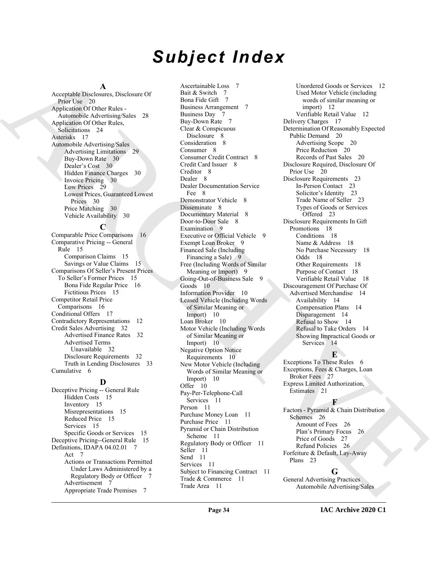# *Subject Index*

#### **A**

Acceptable Disclosures, Disclosure Of Prior Use 20 Application Of Other Rules - Automobile Advertising/Sales 28 Application Of Other Rules, Solicitations 24 Asterisks 17 Automobile Advertising/Sales Advertising Limitations 29 Buy-Down Rate 30 Dealer's Cost 30 Hidden Finance Charges 30 Invoice Pricing 30 Low Prices 29 Lowest Prices, Guaranteed Lowest Prices 30 Price Matching 30 Vehicle Availability 30

#### **C**

Comparable Price Comparisons 16 Comparative Pricing -- General Rule 15 Comparison Claims 15 Savings or Value Claims 15 Comparisons Of Seller's Present Prices To Seller's Former Prices 15 Bona Fide Regular Price 16 Fictitious Prices 15 Competitor Retail Price Comparisons 16 Conditional Offers 17 Contradictory Representations 12 Credit Sales Advertising 32 Advertised Finance Rates 32 Advertised Terms Unavailable 32 Disclosure Requirements 32 Truth in Lending Disclosures 33 Cumulative 6

# **D**

Deceptive Pricing -- General Rule Hidden Costs 15 Inventory 15 Misrepresentations 15 Reduced Price 15 Services 15 Specific Goods or Services 15 Deceptive Pricing--General Rule 15 Definitions, IDAPA 04.02.01 7 Act 7 Actions or Transactions Permitted Under Laws Administered by a Regulatory Body or Officer 7 Advertisement 7 Appropriate Trade Premises 7

[A](#page-19-12)ccording to the state of the state of the state of the state of the state of the state of the state of the state of the state of the state of the state of the state of the state of the state of the state of the state of Ascertainable Loss 7 Bait & Switch 7 Bona Fide Gift 7 Business Arrangement 7 Business Day 7 Buy-Down Rate 7 Clear & Conspicuous Disclosure 8 Consideration 8 Consumer 8 Consumer Credit Contract 8 Credit Card Issuer 8 Creditor 8 Dealer<sub>8</sub> Dealer Documentation Service Fee 8 Demonstrator Vehicle 8 Disseminate 8 Documentary Material 8 Door-to-Door Sale 8 Examination 9 Executive or Official Vehicle 9 Exempt Loan Broker 9 Financed Sale (Including Financing a Sale) 9 Free (Including Words of Similar Meaning or Import) 9 Going-Out-of-Business Sale 9 Goods 10 Information Provider 10 Leased Vehicle (Including Words of Similar Meaning or Import) 10 Loan Broker 10 Motor Vehicle (Including Words of Similar Meaning or Import) 10 Negative Option Notice Requirements 10 New Motor Vehicle (Including Words of Similar Meaning or Import) 10 Offer 10 Pay-Per-Telephone-Call Services 11 Person 11 Purchase Money Loan 11 Purchase Price 11 Pyramid or Chain Distribution Scheme 11 Regulatory Body or Officer 11 Seller 11 Send 11 Services 11 Subject to Financing Contract 11 Trade & Commerce 11 Trade Area 11

Unordered Goods or Services 12 Used Motor Vehicle (including words of similar meaning or import) 12 Verifiable Retail Value 12 Delivery Charges 17 Determination Of Reasonably Expected Public Demand 20 Advertising Scope 20 Price Reduction 20 Records of Past Sales 20 Disclosure Required, Disclosure Of Prior Use 20 Disclosure Requirements 23 In-Person Contact 23 Solicitor's Identity 23 Trade Name of Seller 23 Types of Goods or Services Offered 23 Disclosure Requirements In Gift Promotions 18 Conditions 18 Name & Address 18 No Purchase Necessary 18 Odds 18 Other Requirements 18 Purpose of Contact 18 Verifiable Retail Value 18 Discouragement Of Purchase Of Advertised Merchandise 14 Availability 14 Compensation Plans 14 Disparagement 14 Refusal to Show 14 Refusal to Take Orders 14 Showing Impractical Goods or Services 14

# **E**

Exceptions To These Rules 6 Exceptions, Fees & Charges, Loan Broker Fees 27 Express Limited Authorization, Estimates 21

# **F**

Factors - Pyramid & Chain Distribution Schemes 26 Amount of Fees 26 Plan's Primary Focus 26 Price of Goods 27 Refund Policies 26 Forfeiture & Default, Lay-Away Plans 23

# **G**

General Advertising Practices Automobile Advertising/Sales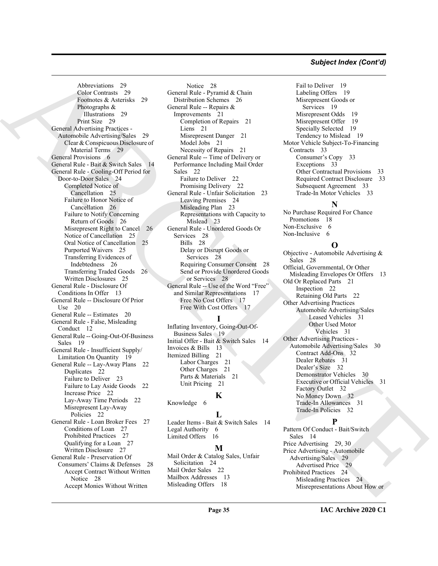# *Subject Index (Cont'd)*

[A](#page-28-7)lthough Street [C](#page-22-15)ountries 21<br>
Concertinus 29<br>
Concertinus 29<br>
Concertinus 29<br>
Distribution 2014<br>
The countries and the concertinus and the concertinus and the concertinus and the concertinus of the concertinus and the con Abbreviations 29 Color Contrasts 29 Footnotes & Asterisks 29 Photographs & Illustrations 29 Print Size 29 General Advertising Practices - Automobile Advertising/Sales 29 Clear & Conspicuous Disclosure of Material Terms 29 General Provisions 6 General Rule - Bait & Switch Sales 14 General Rule - Cooling-Off Period for Door-to-Door Sales 24 Completed Notice of Cancellation 25 Failure to Honor Notice of Cancellation 26 Failure to Notify Concerning Return of Goods 26 Misrepresent Right to Cancel 26 Notice of Cancellation 25 Oral Notice of Cancellation 25 Purported Waivers 25 Transferring Evidences of Indebtedness 26 Transferring Traded Goods 26 Written Disclosures 25 General Rule - Disclosure Of Conditions In Offer 13 General Rule -- Disclosure Of Prior Use 20 General Rule -- Estimates 20 General Rule - False, Misleading Conduct 12 General Rule -- Going-Out-Of-Business Sales 19 General Rule - Insufficient Supply/ Limitation On Quantity 19 General Rule -- Lay-Away Plans 22 Duplicates 22 Failure to Deliver 23 Failure to Lay Aside Goods 22 Increase Price 22 Lay-Away Time Periods 22 Misrepresent Lay-Away Policies 22 General Rule - Loan Broker Fees 27 Conditions of Loan 27 Prohibited Practices 27 Qualifying for a Loan 27 Written Disclosure 27 General Rule - Preservation Of Consumers' Claims & Defenses 28 Accept Contract Without Written Notice 28 Accept Monies Without Written

Notice 28 General Rule - Pyramid & Chain Distribution Schemes 26 General Rule -- Repairs & Improvements 21 Completion of Repairs 21 Liens 21 Misrepresent Danger 21 Model Jobs 21 Necessity of Repairs 21 General Rule -- Time of Delivery or Performance Including Mail Order Sales 22 Failure to Deliver 22 Promising Delivery 22 General Rule - Unfair Solicitation 23 Leaving Premises 24 Misleading Plan 23 Representations with Capacity to Mislead 23 General Rule - Unordered Goods Or Services 28 Bills 28 Delay or Disrupt Goods or Services 28 Requiring Consumer Consent 28 Send or Provide Unordered Goods or Services 28 General Rule -- Use of the Word "Free" and Similar Representations 17 Free No Cost Offers 17 Free With Cost Offers 17

# **I**

Inflating Inventory, Going-Out-Of-Business Sales 19 Initial Offer - Bait & Switch Sales 14 Invoices & Bills 13 Itemized Billing 21 Labor Charges 21 Other Charges 21 Parts & Materials 21 Unit Pricing 21

#### **K**

Knowledge 6

#### **L**

Leader Items - Bait & Switch Sales 14 Legal Authority 6 Limited Offers 16

# **M**

Mail Order & Catalog Sales, Unfair Solicitation 24 Mail Order Sales 22 Mailbox Addresses 13 Misleading Offers 18

Fail to Deliver 19 Labeling Offers 19 Misrepresent Goods or Services 19 Misrepresent Odds 19 Misrepresent Offer 19 Specially Selected 19 Tendency to Mislead 19 Motor Vehicle Subject-To-Financing Contracts 33 Consumer's Copy 33 Exceptions 33 Other Contractual Provisions 33 Required Contract Disclosure 33 Subsequent Agreement 33 Trade-In Motor Vehicles 33

# **N**

No Purchase Required For Chance Promotions 18 Non-Exclusive 6 Non-Inclusive 6

# **O**

Objective - Automobile Advertising & Sales 28 Official, Governmental, Or Other Misleading Envelopes Or Offers 13 Old Or Replaced Parts 21 Inspection 22 Retaining Old Parts 22 Other Advertising Practices Automobile Advertising/Sales Leased Vehicles 31 Other Used Motor Vehicles 31 Other Advertising Practices - Automobile Advertising/Sales 30 Contract Add-Ons 32 Dealer Rebates 31 Dealer's Size 32 Demonstrator Vehicles 30 Executive or Official Vehicles 31 Factory Outlet 32 No Money Down 32 Trade-In Allowances 31 Trade-In Policies 32

# **P**

Pattern Of Conduct - Bait/Switch Sales 14 Price Advertising 29, 30 Price Advertising - Automobile Advertising/Sales 29 Advertised Price 29 Prohibited Practices 24 Misleading Practices 24 Misrepresentations About How or